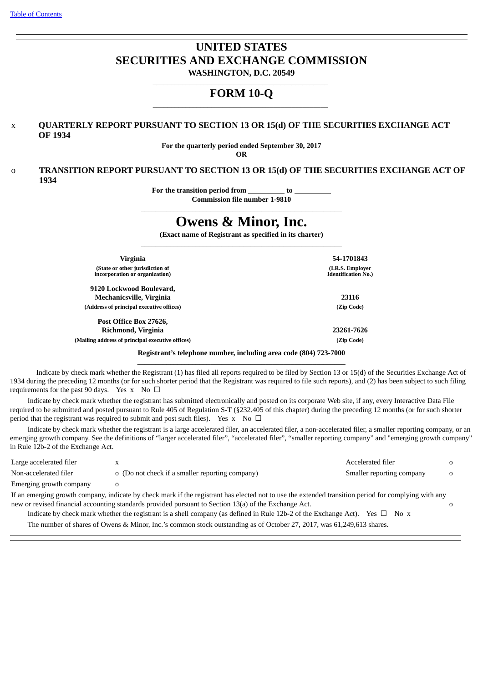# **UNITED STATES SECURITIES AND EXCHANGE COMMISSION**

**WASHINGTON, D.C. 20549** \_\_\_\_\_\_\_\_\_\_\_\_\_\_\_\_\_\_\_\_\_\_\_\_\_\_\_\_\_\_\_\_\_\_\_\_\_\_\_\_\_\_\_\_\_\_\_\_

## **FORM 10-Q** \_\_\_\_\_\_\_\_\_\_\_\_\_\_\_\_\_\_\_\_\_\_\_\_\_\_\_\_\_\_\_\_\_\_\_\_\_\_\_\_\_\_\_\_\_\_\_\_

## x **QUARTERLY REPORT PURSUANT TO SECTION 13 OR 15(d) OF THE SECURITIES EXCHANGE ACT OF 1934**

**For the quarterly period ended September 30, 2017 OR**

o **TRANSITION REPORT PURSUANT TO SECTION 13 OR 15(d) OF THE SECURITIES EXCHANGE ACT OF 1934**

**For the transition period from to Commission file number 1-9810**

\_\_\_\_\_\_\_\_\_\_\_\_\_\_\_\_\_\_\_\_\_\_\_\_\_\_\_\_\_\_\_\_\_\_\_\_\_\_\_\_\_\_\_\_\_\_\_\_\_\_\_\_\_\_\_

# **Owens & Minor, Inc.**

**(Exact name of Registrant as specified in its charter)** \_\_\_\_\_\_\_\_\_\_\_\_\_\_\_\_\_\_\_\_\_\_\_\_\_\_\_\_\_\_\_\_\_\_\_\_\_\_\_\_\_\_\_\_\_\_\_\_\_\_\_\_\_\_\_

| Virginia                                                          | 54-1701843                                     |
|-------------------------------------------------------------------|------------------------------------------------|
| (State or other jurisdiction of<br>incorporation or organization) | (I.R.S. Employer<br><b>Identification No.)</b> |
| 9120 Lockwood Boulevard.                                          |                                                |
| Mechanicsville, Virginia                                          | 23116                                          |
| (Address of principal executive offices)                          | (Zip Code)                                     |
| Post Office Box 27626,                                            |                                                |
| Richmond, Virginia                                                | 23261-7626                                     |
| (Mailing address of principal executive offices)                  | (Zip Code)                                     |
|                                                                   |                                                |

**Registrant's telephone number, including area code (804) 723-7000** \_\_\_\_\_\_\_\_\_\_\_\_\_\_\_\_\_\_\_\_\_\_\_\_\_\_\_\_\_\_\_\_\_\_\_\_\_\_\_\_\_\_\_\_\_\_\_\_\_\_\_\_\_\_\_\_\_

Indicate by check mark whether the Registrant (1) has filed all reports required to be filed by Section 13 or 15(d) of the Securities Exchange Act of 1934 during the preceding 12 months (or for such shorter period that the Registrant was required to file such reports), and (2) has been subject to such filing requirements for the past 90 days. Yes x No  $\Box$ 

Indicate by check mark whether the registrant has submitted electronically and posted on its corporate Web site, if any, every Interactive Data File required to be submitted and posted pursuant to Rule 405 of Regulation S-T (§232.405 of this chapter) during the preceding 12 months (or for such shorter period that the registrant was required to submit and post such files). Yes  $x \in N_0 \square$ 

Indicate by check mark whether the registrant is a large accelerated filer, an accelerated filer, a non-accelerated filer, a smaller reporting company, or an emerging growth company. See the definitions of "larger accelerated filer", "accelerated filer", "smaller reporting company" and "emerging growth company" in Rule 12b-2 of the Exchange Act.

| Large accelerated filer |                                                                                                                                                      | Accelerated filer         |  |
|-------------------------|------------------------------------------------------------------------------------------------------------------------------------------------------|---------------------------|--|
| Non-accelerated filer   | o (Do not check if a smaller reporting company)                                                                                                      | Smaller reporting company |  |
| Emerging growth company |                                                                                                                                                      |                           |  |
|                         | If an emerging growth company, indicate by check mark if the registrant has elected not to use the extended transition period for complying with any |                           |  |

new or revised financial accounting standards provided pursuant to Section 13(a) of the Exchange Act. o Indicate by check mark whether the registrant is a shell company (as defined in Rule 12b-2 of the Exchange Act). Yes  $\Box$  No x

The number of shares of Owens & Minor, Inc.'s common stock outstanding as of October 27, 2017, was 61,249,613 shares.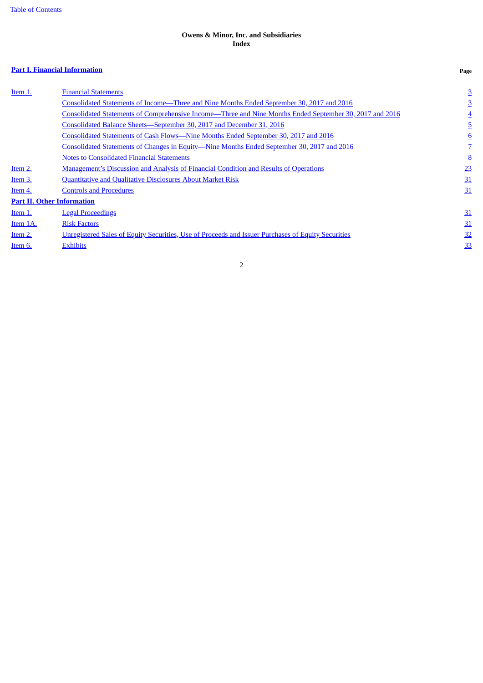## **Owens & Minor, Inc. and Subsidiaries Index**

## <span id="page-1-0"></span>**Part I. Financial [Information](#page-2-0) Page**

| Item 1.  | <b>Financial Statements</b>                                                                               | 3         |
|----------|-----------------------------------------------------------------------------------------------------------|-----------|
|          | <u>Consolidated Statements of Income—Three and Nine Months Ended September 30, 2017 and 2016</u>          |           |
|          | Consolidated Statements of Comprehensive Income—Three and Nine Months Ended September 30, 2017 and 2016   |           |
|          | Consolidated Balance Sheets-September 30, 2017 and December 31, 2016                                      |           |
|          | <u>Consolidated Statements of Cash Flows—Nine Months Ended September 30, 2017 and 2016</u>                | 6         |
|          | <u>Consolidated Statements of Changes in Equity—Nine Months Ended September 30, 2017 and 2016</u>         |           |
|          | <b>Notes to Consolidated Financial Statements</b>                                                         | 8         |
| Item 2.  | <b>Management's Discussion and Analysis of Financial Condition and Results of Operations</b>              | 23        |
| Item 3.  | Quantitative and Qualitative Disclosures About Market Risk                                                | <u>31</u> |
| Item 4.  | <b>Controls and Procedures</b>                                                                            | <u>31</u> |
|          | <b>Part II. Other Information</b>                                                                         |           |
| Item 1.  | <b>Legal Proceedings</b>                                                                                  | 31        |
| Item 1A. | <b>Risk Factors</b>                                                                                       | 31        |
| Item 2.  | <b>Unregistered Sales of Equity Securities, Use of Proceeds and Issuer Purchases of Equity Securities</b> | 32        |
| Item 6.  | <b>Exhibits</b>                                                                                           | 33        |
|          |                                                                                                           |           |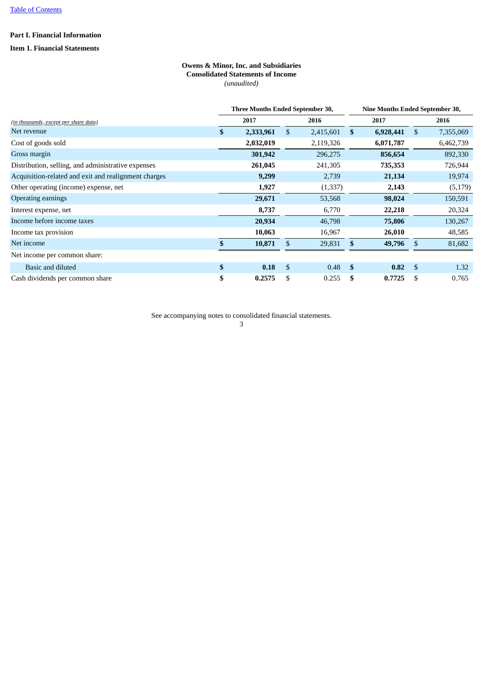## <span id="page-2-0"></span>**Part I. Financial Information**

## <span id="page-2-2"></span><span id="page-2-1"></span>**Item 1. Financial Statements**

## **Owens & Minor, Inc. and Subsidiaries Consolidated Statements of Income** *(unaudited)*

|                                                      |              | Three Months Ended September 30, |    |           |               |           |      | Nine Months Ended September 30, |  |  |
|------------------------------------------------------|--------------|----------------------------------|----|-----------|---------------|-----------|------|---------------------------------|--|--|
| (in thousands, except per share data)                | 2016<br>2017 |                                  |    |           | 2017          |           | 2016 |                                 |  |  |
| Net revenue                                          | \$           | 2,333,961                        | \$ | 2,415,601 | <sup>\$</sup> | 6,928,441 | \$.  | 7,355,069                       |  |  |
| Cost of goods sold                                   |              | 2,032,019                        |    | 2,119,326 |               | 6,071,787 |      | 6,462,739                       |  |  |
| Gross margin                                         |              | 301,942                          |    | 296,275   |               | 856,654   |      | 892,330                         |  |  |
| Distribution, selling, and administrative expenses   |              | 261,045                          |    | 241,305   |               | 735,353   |      | 726,944                         |  |  |
| Acquisition-related and exit and realignment charges |              | 9,299                            |    | 2,739     |               | 21,134    |      | 19,974                          |  |  |
| Other operating (income) expense, net                |              | 1,927                            |    | (1,337)   |               | 2,143     |      | (5, 179)                        |  |  |
| <b>Operating earnings</b>                            |              | 29,671                           |    | 53,568    |               | 98,024    |      | 150,591                         |  |  |
| Interest expense, net                                |              | 8,737                            |    | 6,770     |               | 22,218    |      | 20,324                          |  |  |
| Income before income taxes                           |              | 20,934                           |    | 46,798    |               | 75,806    |      | 130,267                         |  |  |
| Income tax provision                                 |              | 10,063                           |    | 16,967    |               | 26,010    |      | 48,585                          |  |  |
| Net income                                           | \$           | 10,871                           |    | 29,831    | \$            | 49,796    | \$.  | 81,682                          |  |  |
| Net income per common share:                         |              |                                  |    |           |               |           |      |                                 |  |  |
| Basic and diluted                                    | \$           | 0.18                             | \$ | 0.48      | -S            | 0.82      | \$   | 1.32                            |  |  |
| Cash dividends per common share                      | \$           | 0.2575                           | \$ | 0.255     | \$            | 0.7725    | \$   | 0.765                           |  |  |

See accompanying notes to consolidated financial statements.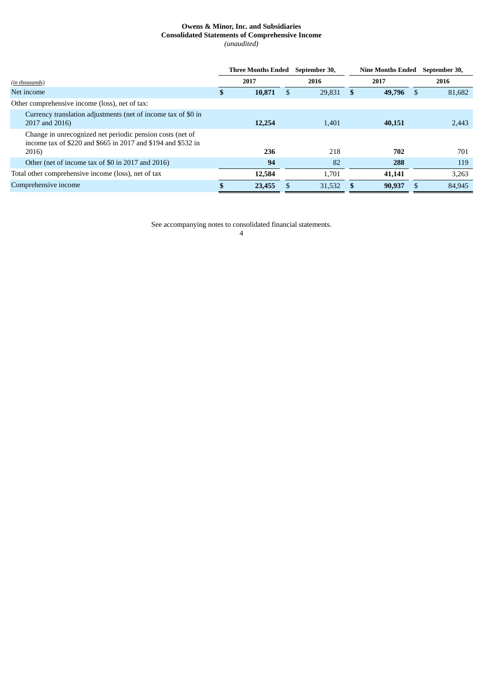## **Owens & Minor, Inc. and Subsidiaries Consolidated Statements of Comprehensive Income** *(unaudited)*

<span id="page-3-0"></span>

|                                                                                                                           | <b>Three Months Ended</b><br>September 30, |        |      |        |      | <b>Nine Months Ended</b> |      | September 30, |  |  |
|---------------------------------------------------------------------------------------------------------------------------|--------------------------------------------|--------|------|--------|------|--------------------------|------|---------------|--|--|
| (in thousands)                                                                                                            | 2017                                       |        | 2016 |        | 2017 |                          | 2016 |               |  |  |
| Net income                                                                                                                | ъ                                          | 10,871 | Ж    | 29,831 |      | 49,796                   | - S  | 81,682        |  |  |
| Other comprehensive income (loss), net of tax:                                                                            |                                            |        |      |        |      |                          |      |               |  |  |
| Currency translation adjustments (net of income tax of \$0 in<br>2017 and 2016)                                           |                                            | 12,254 |      | 1,401  |      | 40,151                   |      | 2,443         |  |  |
| Change in unrecognized net periodic pension costs (net of<br>income tax of \$220 and \$665 in 2017 and \$194 and \$532 in |                                            |        |      |        |      |                          |      |               |  |  |
| 2016)                                                                                                                     |                                            | 236    |      | 218    |      | 702                      |      | 701           |  |  |
| Other (net of income tax of \$0 in 2017 and 2016)                                                                         |                                            | 94     |      | 82     |      | 288                      |      | 119           |  |  |
| Total other comprehensive income (loss), net of tax                                                                       |                                            | 12,584 |      | 1,701  |      | 41,141                   |      | 3,263         |  |  |
| Comprehensive income                                                                                                      |                                            | 23,455 |      | 31,532 |      | 90,937                   |      | 84,945        |  |  |

See accompanying notes to consolidated financial statements.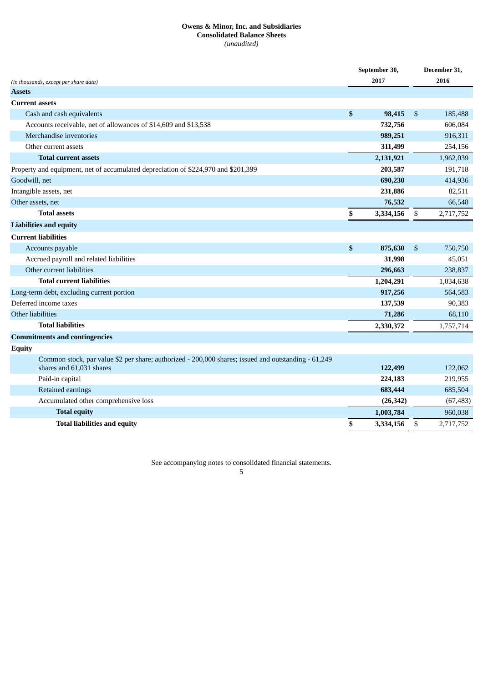## **Owens & Minor, Inc. and Subsidiaries Consolidated Balance Sheets** *(unaudited)*

<span id="page-4-0"></span>

|                                                                                                                                 | September 30,             |           |                | December 31, |
|---------------------------------------------------------------------------------------------------------------------------------|---------------------------|-----------|----------------|--------------|
| (in thousands, except per share data)                                                                                           | 2017                      |           |                | 2016         |
| <b>Assets</b>                                                                                                                   |                           |           |                |              |
| <b>Current assets</b>                                                                                                           |                           |           |                |              |
| Cash and cash equivalents                                                                                                       | \$                        | 98,415    | \$             | 185,488      |
| Accounts receivable, net of allowances of \$14,609 and \$13,538                                                                 |                           | 732,756   |                | 606,084      |
| Merchandise inventories                                                                                                         |                           | 989,251   |                | 916,311      |
| Other current assets                                                                                                            |                           | 311,499   |                | 254,156      |
| <b>Total current assets</b>                                                                                                     |                           | 2,131,921 |                | 1,962,039    |
| Property and equipment, net of accumulated depreciation of \$224,970 and \$201,399                                              |                           | 203,587   |                | 191,718      |
| Goodwill, net                                                                                                                   |                           | 690,230   |                | 414,936      |
| Intangible assets, net                                                                                                          |                           | 231,886   |                | 82,511       |
| Other assets, net                                                                                                               |                           | 76,532    |                | 66,548       |
| <b>Total assets</b>                                                                                                             | \$                        | 3,334,156 | \$             | 2,717,752    |
| <b>Liabilities and equity</b>                                                                                                   |                           |           |                |              |
| <b>Current liabilities</b>                                                                                                      |                           |           |                |              |
| Accounts payable                                                                                                                | $\boldsymbol{\mathsf{s}}$ | 875,630   | $\mathfrak{S}$ | 750,750      |
| Accrued payroll and related liabilities                                                                                         |                           | 31,998    |                | 45,051       |
| Other current liabilities                                                                                                       |                           | 296,663   |                | 238,837      |
| <b>Total current liabilities</b>                                                                                                |                           | 1,204,291 |                | 1,034,638    |
| Long-term debt, excluding current portion                                                                                       |                           | 917,256   |                | 564,583      |
| Deferred income taxes                                                                                                           |                           | 137,539   |                | 90,383       |
| Other liabilities                                                                                                               |                           | 71,286    |                | 68,110       |
| <b>Total liabilities</b>                                                                                                        |                           | 2,330,372 |                | 1,757,714    |
| <b>Commitments and contingencies</b>                                                                                            |                           |           |                |              |
| <b>Equity</b>                                                                                                                   |                           |           |                |              |
| Common stock, par value \$2 per share; authorized - 200,000 shares; issued and outstanding - 61,249<br>shares and 61,031 shares |                           | 122,499   |                | 122,062      |
| Paid-in capital                                                                                                                 |                           | 224,183   |                | 219,955      |
| Retained earnings                                                                                                               |                           | 683,444   |                | 685,504      |
| Accumulated other comprehensive loss                                                                                            |                           | (26, 342) |                | (67, 483)    |
| <b>Total equity</b>                                                                                                             |                           | 1,003,784 |                | 960,038      |
| <b>Total liabilities and equity</b>                                                                                             | \$                        | 3,334,156 | \$             | 2,717,752    |

See accompanying notes to consolidated financial statements.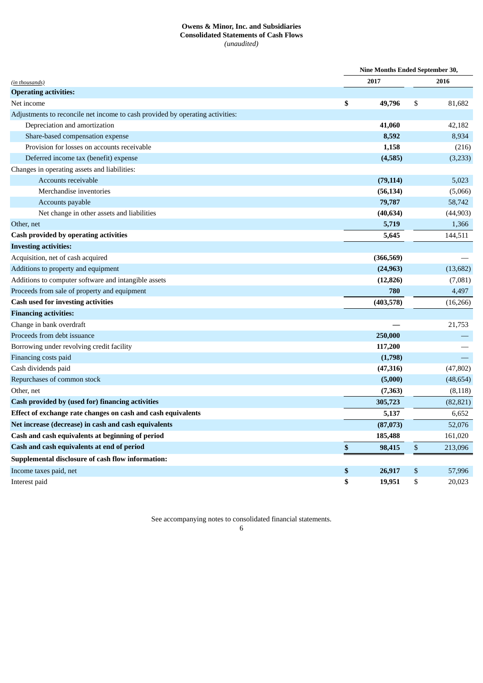## **Owens & Minor, Inc. and Subsidiaries Consolidated Statements of Cash Flows** *(unaudited)*

<span id="page-5-0"></span>

|                                                                               | Nine Months Ended September 30, |             |           |  |  |  |
|-------------------------------------------------------------------------------|---------------------------------|-------------|-----------|--|--|--|
| (in thousands)                                                                | 2017                            |             | 2016      |  |  |  |
| <b>Operating activities:</b>                                                  |                                 |             |           |  |  |  |
| Net income                                                                    | \$<br>49,796                    | \$          | 81,682    |  |  |  |
| Adjustments to reconcile net income to cash provided by operating activities: |                                 |             |           |  |  |  |
| Depreciation and amortization                                                 | 41,060                          |             | 42,182    |  |  |  |
| Share-based compensation expense                                              | 8,592                           |             | 8,934     |  |  |  |
| Provision for losses on accounts receivable                                   | 1,158                           |             | (216)     |  |  |  |
| Deferred income tax (benefit) expense                                         | (4,585)                         |             | (3,233)   |  |  |  |
| Changes in operating assets and liabilities:                                  |                                 |             |           |  |  |  |
| Accounts receivable                                                           | (79, 114)                       |             | 5,023     |  |  |  |
| Merchandise inventories                                                       | (56, 134)                       |             | (5,066)   |  |  |  |
| Accounts payable                                                              | 79,787                          |             | 58,742    |  |  |  |
| Net change in other assets and liabilities                                    | (40, 634)                       |             | (44, 903) |  |  |  |
| Other, net                                                                    | 5,719                           |             | 1,366     |  |  |  |
| Cash provided by operating activities                                         | 5,645                           |             | 144,511   |  |  |  |
| <b>Investing activities:</b>                                                  |                                 |             |           |  |  |  |
| Acquisition, net of cash acquired                                             | (366, 569)                      |             |           |  |  |  |
| Additions to property and equipment                                           | (24, 963)                       |             | (13,682)  |  |  |  |
| Additions to computer software and intangible assets                          | (12, 826)                       |             | (7,081)   |  |  |  |
| Proceeds from sale of property and equipment                                  | 780                             |             | 4,497     |  |  |  |
| <b>Cash used for investing activities</b>                                     | (403, 578)                      |             | (16, 266) |  |  |  |
| <b>Financing activities:</b>                                                  |                                 |             |           |  |  |  |
| Change in bank overdraft                                                      |                                 |             | 21,753    |  |  |  |
| Proceeds from debt issuance                                                   | 250,000                         |             |           |  |  |  |
| Borrowing under revolving credit facility                                     | 117,200                         |             |           |  |  |  |
| Financing costs paid                                                          | (1,798)                         |             |           |  |  |  |
| Cash dividends paid                                                           | (47, 316)                       |             | (47, 802) |  |  |  |
| Repurchases of common stock                                                   | (5,000)                         |             | (48, 654) |  |  |  |
| Other, net                                                                    | (7, 363)                        |             | (8, 118)  |  |  |  |
| Cash provided by (used for) financing activities                              | 305,723                         |             | (82, 821) |  |  |  |
| Effect of exchange rate changes on cash and cash equivalents                  | 5,137                           |             | 6,652     |  |  |  |
| Net increase (decrease) in cash and cash equivalents                          | (87,073)                        |             | 52,076    |  |  |  |
| Cash and cash equivalents at beginning of period                              | 185,488                         |             | 161,020   |  |  |  |
| Cash and cash equivalents at end of period                                    | \$<br>98,415                    | $\mathbb S$ | 213,096   |  |  |  |
| Supplemental disclosure of cash flow information:                             |                                 |             |           |  |  |  |
| Income taxes paid, net                                                        | \$<br>26,917                    | \$          | 57,996    |  |  |  |
| Interest paid                                                                 | \$<br>19,951                    | \$          | 20,023    |  |  |  |
|                                                                               |                                 |             |           |  |  |  |

See accompanying notes to consolidated financial statements.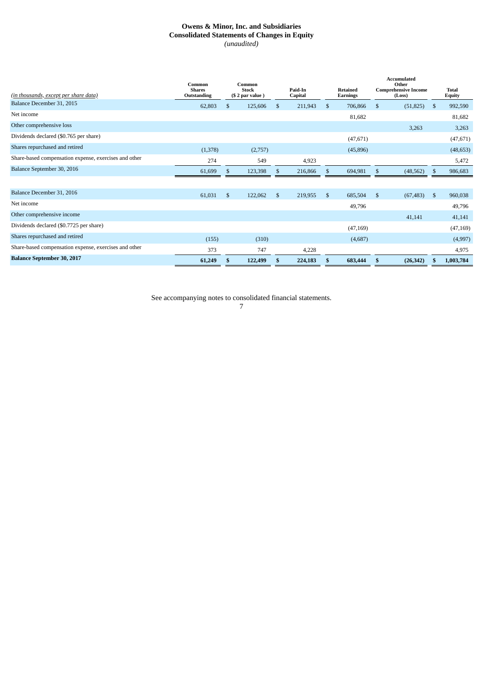## **Owens & Minor, Inc. and Subsidiaries Consolidated Statements of Changes in Equity** *(unaudited)*

<span id="page-6-0"></span>

| (in thousands, except per share data)                 | Common<br><b>Shares</b><br>Outstanding |    | Common<br>Stock<br>$$2$ par value) |              | Paid-In<br>Capital |              | Retained<br><b>Earnings</b> |    | <b>Accumulated</b><br>Other<br><b>Comprehensive Income</b><br>(Loss) |                | <b>Total</b><br><b>Equity</b> |
|-------------------------------------------------------|----------------------------------------|----|------------------------------------|--------------|--------------------|--------------|-----------------------------|----|----------------------------------------------------------------------|----------------|-------------------------------|
| Balance December 31, 2015                             | 62,803                                 | \$ | 125,606                            | \$           | 211,943            | \$           | 706,866                     | \$ | (51, 825)                                                            | \$             | 992,590                       |
| Net income                                            |                                        |    |                                    |              |                    |              | 81,682                      |    |                                                                      |                | 81,682                        |
| Other comprehensive loss                              |                                        |    |                                    |              |                    |              |                             |    | 3,263                                                                |                | 3,263                         |
| Dividends declared (\$0.765 per share)                |                                        |    |                                    |              |                    |              | (47, 671)                   |    |                                                                      |                | (47, 671)                     |
| Shares repurchased and retired                        | (1,378)                                |    | (2,757)                            |              |                    |              | (45,896)                    |    |                                                                      |                | (48, 653)                     |
| Share-based compensation expense, exercises and other | 274                                    |    | 549                                |              | 4,923              |              |                             |    |                                                                      |                | 5,472                         |
| Balance September 30, 2016                            | 61,699                                 | S  | 123,398                            | S            | 216,866            | \$           | 694,981                     | S  | (48, 562)                                                            | \$             | 986,683                       |
|                                                       |                                        |    |                                    |              |                    |              |                             |    |                                                                      |                |                               |
| Balance December 31, 2016                             | 61,031                                 | \$ | 122,062                            | $\mathbb{S}$ | 219,955            | $\mathbb{S}$ | 685,504                     | \$ | (67, 483)                                                            | $\mathfrak{S}$ | 960,038                       |
| Net income                                            |                                        |    |                                    |              |                    |              | 49,796                      |    |                                                                      |                | 49,796                        |
| Other comprehensive income                            |                                        |    |                                    |              |                    |              |                             |    | 41,141                                                               |                | 41,141                        |
| Dividends declared (\$0.7725 per share)               |                                        |    |                                    |              |                    |              | (47, 169)                   |    |                                                                      |                | (47, 169)                     |
| Shares repurchased and retired                        | (155)                                  |    | (310)                              |              |                    |              | (4,687)                     |    |                                                                      |                | (4,997)                       |
| Share-based compensation expense, exercises and other | 373                                    |    | 747                                |              | 4,228              |              |                             |    |                                                                      |                | 4,975                         |
| <b>Balance September 30, 2017</b>                     | 61,249                                 | \$ | 122,499                            | S            | 224,183            | S            | 683,444                     | \$ | (26, 342)                                                            |                | 1,003,784                     |

See accompanying notes to consolidated financial statements.

 $\frac{1}{7}$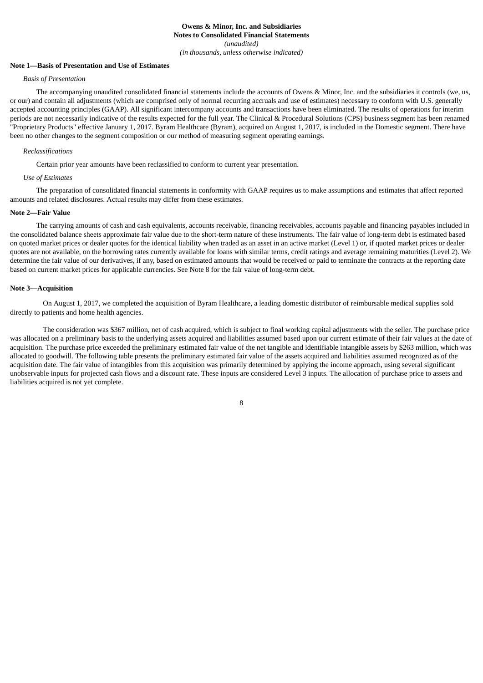## **Owens & Minor, Inc. and Subsidiaries Notes to Consolidated Financial Statements** *(unaudited)*

*(in thousands, unless otherwise indicated)*

#### <span id="page-7-0"></span>**Note 1—Basis of Presentation and Use of Estimates**

#### *Basis of Presentation*

The accompanying unaudited consolidated financial statements include the accounts of Owens & Minor, Inc. and the subsidiaries it controls (we, us, or our) and contain all adjustments (which are comprised only of normal recurring accruals and use of estimates) necessary to conform with U.S. generally accepted accounting principles (GAAP). All significant intercompany accounts and transactions have been eliminated. The results of operations for interim periods are not necessarily indicative of the results expected for the full year. The Clinical & Procedural Solutions (CPS) business segment has been renamed "Proprietary Products" effective January 1, 2017. Byram Healthcare (Byram), acquired on August 1, 2017, is included in the Domestic segment. There have been no other changes to the segment composition or our method of measuring segment operating earnings.

#### *Reclassifications*

Certain prior year amounts have been reclassified to conform to current year presentation.

#### *Use of Estimates*

The preparation of consolidated financial statements in conformity with GAAP requires us to make assumptions and estimates that affect reported amounts and related disclosures. Actual results may differ from these estimates.

#### **Note 2—Fair Value**

The carrying amounts of cash and cash equivalents, accounts receivable, financing receivables, accounts payable and financing payables included in the consolidated balance sheets approximate fair value due to the short-term nature of these instruments. The fair value of long-term debt is estimated based on quoted market prices or dealer quotes for the identical liability when traded as an asset in an active market (Level 1) or, if quoted market prices or dealer quotes are not available, on the borrowing rates currently available for loans with similar terms, credit ratings and average remaining maturities (Level 2). We determine the fair value of our derivatives, if any, based on estimated amounts that would be received or paid to terminate the contracts at the reporting date based on current market prices for applicable currencies. See Note 8 for the fair value of long-term debt.

#### **Note 3—Acquisition**

On August 1, 2017, we completed the acquisition of Byram Healthcare, a leading domestic distributor of reimbursable medical supplies sold directly to patients and home health agencies.

The consideration was \$367 million, net of cash acquired, which is subject to final working capital adjustments with the seller. The purchase price was allocated on a preliminary basis to the underlying assets acquired and liabilities assumed based upon our current estimate of their fair values at the date of acquisition. The purchase price exceeded the preliminary estimated fair value of the net tangible and identifiable intangible assets by \$263 million, which was allocated to goodwill. The following table presents the preliminary estimated fair value of the assets acquired and liabilities assumed recognized as of the acquisition date. The fair value of intangibles from this acquisition was primarily determined by applying the income approach, using several significant unobservable inputs for projected cash flows and a discount rate. These inputs are considered Level 3 inputs. The allocation of purchase price to assets and liabilities acquired is not yet complete.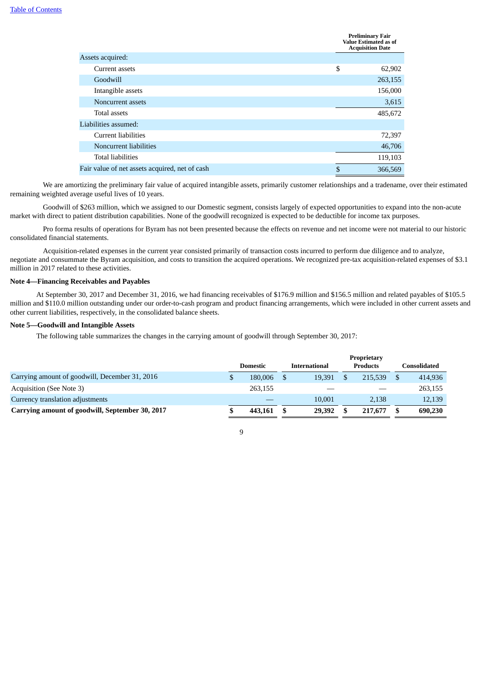|                                                | <b>Preliminary Fair</b><br><b>Value Estimated as of</b><br><b>Acquisition Date</b> |
|------------------------------------------------|------------------------------------------------------------------------------------|
| Assets acquired:                               |                                                                                    |
| Current assets                                 | \$<br>62,902                                                                       |
| Goodwill                                       | 263,155                                                                            |
| Intangible assets                              | 156,000                                                                            |
| Noncurrent assets                              | 3,615                                                                              |
| Total assets                                   | 485,672                                                                            |
| Liabilities assumed:                           |                                                                                    |
| Current liabilities                            | 72,397                                                                             |
| Noncurrent liabilities                         | 46,706                                                                             |
| <b>Total liabilities</b>                       | 119,103                                                                            |
| Fair value of net assets acquired, net of cash | \$<br>366,569                                                                      |

We are amortizing the preliminary fair value of acquired intangible assets, primarily customer relationships and a tradename, over their estimated remaining weighted average useful lives of 10 years.

Goodwill of \$263 million, which we assigned to our Domestic segment, consists largely of expected opportunities to expand into the non-acute market with direct to patient distribution capabilities. None of the goodwill recognized is expected to be deductible for income tax purposes.

Pro forma results of operations for Byram has not been presented because the effects on revenue and net income were not material to our historic consolidated financial statements.

Acquisition-related expenses in the current year consisted primarily of transaction costs incurred to perform due diligence and to analyze, negotiate and consummate the Byram acquisition, and costs to transition the acquired operations. We recognized pre-tax acquisition-related expenses of \$3.1 million in 2017 related to these activities.

## **Note 4—Financing Receivables and Payables**

At September 30, 2017 and December 31, 2016, we had financing receivables of \$176.9 million and \$156.5 million and related payables of \$105.5 million and \$110.0 million outstanding under our order-to-cash program and product financing arrangements, which were included in other current assets and other current liabilities, respectively, in the consolidated balance sheets.

## **Note 5—Goodwill and Intangible Assets**

The following table summarizes the changes in the carrying amount of goodwill through September 30, 2017:

|                                                 |          |               | Proprietary     |              |
|-------------------------------------------------|----------|---------------|-----------------|--------------|
|                                                 | Domestic | International | <b>Products</b> | Consolidated |
| Carrying amount of goodwill, December 31, 2016  | 180,006  | 19.391        | 215.539         | 414,936      |
| Acquisition (See Note 3)                        | 263,155  |               |                 | 263,155      |
| Currency translation adjustments                |          | 10.001        | 2.138           | 12,139       |
| Carrying amount of goodwill, September 30, 2017 | 443,161  | 29,392        | 217,677         | 690,230      |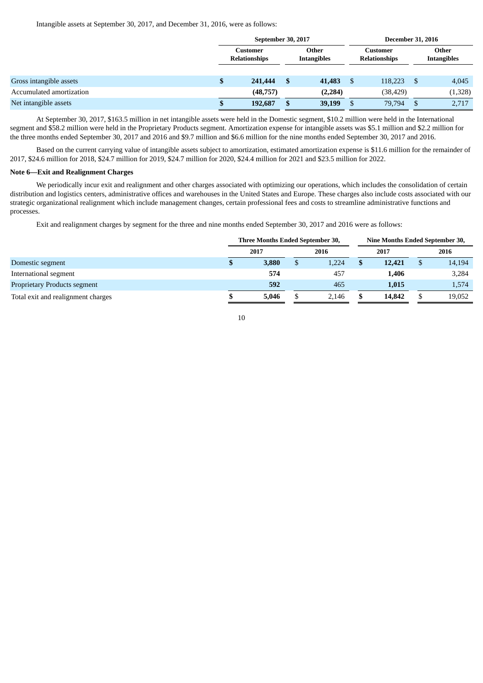Intangible assets at September 30, 2017, and December 31, 2016, were as follows:

|                          | September 30, 2017               |          |                             |         |                                  | <b>December 31, 2016</b> |    |                             |  |  |
|--------------------------|----------------------------------|----------|-----------------------------|---------|----------------------------------|--------------------------|----|-----------------------------|--|--|
|                          | <b>Customer</b><br>Relationships |          | Other<br><b>Intangibles</b> |         | Customer<br><b>Relationships</b> |                          |    | Other<br><b>Intangibles</b> |  |  |
|                          |                                  |          |                             |         |                                  |                          |    |                             |  |  |
| Gross intangible assets  | S                                | 241,444  |                             | 41,483  |                                  | 118,223                  | -S | 4,045                       |  |  |
| Accumulated amortization |                                  | (48,757) |                             | (2,284) |                                  | (38, 429)                |    | (1, 328)                    |  |  |
| Net intangible assets    | 192,687                          |          | - 5                         | 39,199  |                                  | 79.794                   | S. | 2,717                       |  |  |

At September 30, 2017, \$163.5 million in net intangible assets were held in the Domestic segment, \$10.2 million were held in the International segment and \$58.2 million were held in the Proprietary Products segment. Amortization expense for intangible assets was \$5.1 million and \$2.2 million for the three months ended September 30, 2017 and 2016 and \$9.7 million and \$6.6 million for the nine months ended September 30, 2017 and 2016.

Based on the current carrying value of intangible assets subject to amortization, estimated amortization expense is \$11.6 million for the remainder of 2017, \$24.6 million for 2018, \$24.7 million for 2019, \$24.7 million for 2020, \$24.4 million for 2021 and \$23.5 million for 2022.

#### **Note 6—Exit and Realignment Charges**

We periodically incur exit and realignment and other charges associated with optimizing our operations, which includes the consolidation of certain distribution and logistics centers, administrative offices and warehouses in the United States and Europe. These charges also include costs associated with our strategic organizational realignment which include management changes, certain professional fees and costs to streamline administrative functions and processes.

Exit and realignment charges by segment for the three and nine months ended September 30, 2017 and 2016 were as follows:

|                                     | Three Months Ended September 30, |             |      |       |      | Nine Months Ended September 30, |    |        |  |
|-------------------------------------|----------------------------------|-------------|------|-------|------|---------------------------------|----|--------|--|
|                                     | 2017                             |             | 2016 |       | 2017 |                                 |    | 2016   |  |
| Domestic segment                    |                                  | 3,880       |      | 1,224 |      | 12,421                          | \$ | 14,194 |  |
| International segment               |                                  | 574         |      | 457   |      | 1,406                           |    | 3,284  |  |
| <b>Proprietary Products segment</b> |                                  | 592         |      | 465   |      | 1,015                           |    | 1,574  |  |
| Total exit and realignment charges  |                                  | \$<br>5.046 |      | 2.146 |      | 14,842                          |    | 19,052 |  |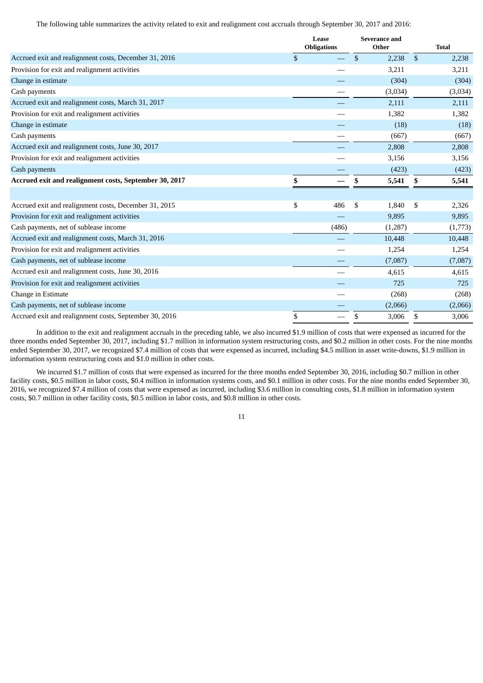The following table summarizes the activity related to exit and realignment cost accruals through September 30, 2017 and 2016:

|                                                        | Lease<br><b>Obligations</b> | <b>Severance and</b><br>Other |                | <b>Total</b> |
|--------------------------------------------------------|-----------------------------|-------------------------------|----------------|--------------|
| Accrued exit and realignment costs, December 31, 2016  | \$                          | \$<br>2,238                   | $\mathfrak{S}$ | 2,238        |
| Provision for exit and realignment activities          |                             | 3,211                         |                | 3,211        |
| Change in estimate                                     |                             | (304)                         |                | (304)        |
| Cash payments                                          |                             | (3,034)                       |                | (3,034)      |
| Accrued exit and realignment costs, March 31, 2017     |                             | 2,111                         |                | 2,111        |
| Provision for exit and realignment activities          |                             | 1,382                         |                | 1,382        |
| Change in estimate                                     |                             | (18)                          |                | (18)         |
| Cash payments                                          |                             | (667)                         |                | (667)        |
| Accrued exit and realignment costs, June 30, 2017      |                             | 2,808                         |                | 2,808        |
| Provision for exit and realignment activities          |                             | 3,156                         |                | 3,156        |
| Cash payments                                          |                             | (423)                         |                | (423)        |
| Accrued exit and realignment costs, September 30, 2017 | \$                          | \$<br>5,541                   | S              | 5,541        |
|                                                        |                             |                               |                |              |
| Accrued exit and realignment costs, December 31, 2015  | \$<br>486                   | \$<br>1,840                   | \$             | 2,326        |
| Provision for exit and realignment activities          |                             | 9,895                         |                | 9,895        |
| Cash payments, net of sublease income                  | (486)                       | (1,287)                       |                | (1,773)      |
| Accrued exit and realignment costs, March 31, 2016     |                             | 10,448                        |                | 10,448       |
| Provision for exit and realignment activities          |                             | 1,254                         |                | 1,254        |
| Cash payments, net of sublease income                  |                             | (7,087)                       |                | (7,087)      |
| Accrued exit and realignment costs, June 30, 2016      |                             | 4,615                         |                | 4,615        |
| Provision for exit and realignment activities          |                             | 725                           |                | 725          |
| Change in Estimate                                     |                             | (268)                         |                | (268)        |
| Cash payments, net of sublease income                  |                             | (2,066)                       |                | (2,066)      |
| Accrued exit and realignment costs, September 30, 2016 | \$                          | \$<br>3,006                   | \$             | 3,006        |

In addition to the exit and realignment accruals in the preceding table, we also incurred \$1.9 million of costs that were expensed as incurred for the three months ended September 30, 2017, including \$1.7 million in information system restructuring costs, and \$0.2 million in other costs. For the nine months ended September 30, 2017, we recognized \$7.4 million of costs that were expensed as incurred, including \$4.5 million in asset write-downs, \$1.9 million in information system restructuring costs and \$1.0 million in other costs.

We incurred \$1.7 million of costs that were expensed as incurred for the three months ended September 30, 2016, including \$0.7 million in other facility costs, \$0.5 million in labor costs, \$0.4 million in information systems costs, and \$0.1 million in other costs. For the nine months ended September 30, 2016, we recognized \$7.4 million of costs that were expensed as incurred, including \$3.6 million in consulting costs, \$1.8 million in information system costs, \$0.7 million in other facility costs, \$0.5 million in labor costs, and \$0.8 million in other costs.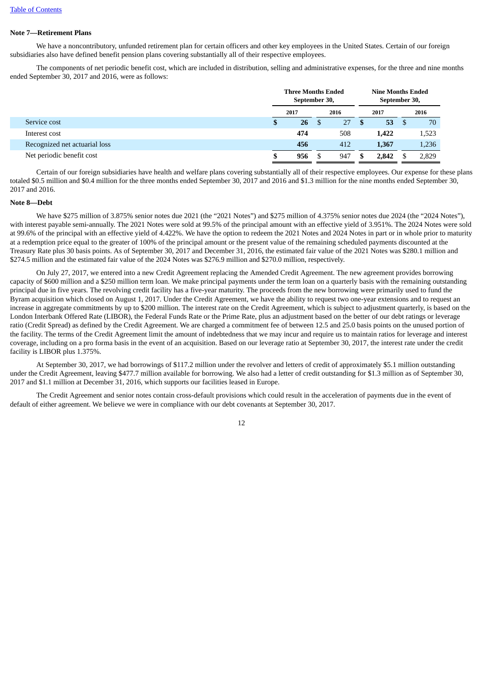## **Note 7—Retirement Plans**

We have a noncontributory, unfunded retirement plan for certain officers and other key employees in the United States. Certain of our foreign subsidiaries also have defined benefit pension plans covering substantially all of their respective employees.

The components of net periodic benefit cost, which are included in distribution, selling and administrative expenses, for the three and nine months ended September 30, 2017 and 2016, were as follows:

|                               |     | <b>Three Months Ended</b><br>September 30, |  |     |  | <b>Nine Months Ended</b><br>September 30, |  |       |
|-------------------------------|-----|--------------------------------------------|--|-----|--|-------------------------------------------|--|-------|
|                               |     | 2017<br>2016                               |  |     |  | 2017                                      |  | 2016  |
| Service cost                  | \$. | 26                                         |  | 27  |  | 53                                        |  | 70    |
| Interest cost                 |     | 474                                        |  | 508 |  | 1.422                                     |  | 1,523 |
| Recognized net actuarial loss |     | 456                                        |  | 412 |  | 1,367                                     |  | 1,236 |
| Net periodic benefit cost     |     | 956                                        |  | 947 |  | 2,842                                     |  | 2.829 |

Certain of our foreign subsidiaries have health and welfare plans covering substantially all of their respective employees. Our expense for these plans totaled \$0.5 million and \$0.4 million for the three months ended September 30, 2017 and 2016 and \$1.3 million for the nine months ended September 30, 2017 and 2016.

#### **Note 8—Debt**

We have \$275 million of 3.875% senior notes due 2021 (the "2021 Notes") and \$275 million of 4.375% senior notes due 2024 (the "2024 Notes"), with interest payable semi-annually. The 2021 Notes were sold at 99.5% of the principal amount with an effective yield of 3.951%. The 2024 Notes were sold at 99.6% of the principal with an effective yield of 4.422%. We have the option to redeem the 2021 Notes and 2024 Notes in part or in whole prior to maturity at a redemption price equal to the greater of 100% of the principal amount or the present value of the remaining scheduled payments discounted at the Treasury Rate plus 30 basis points. As of September 30, 2017 and December 31, 2016, the estimated fair value of the 2021 Notes was \$280.1 million and \$274.5 million and the estimated fair value of the 2024 Notes was \$276.9 million and \$270.0 million, respectively.

On July 27, 2017, we entered into a new Credit Agreement replacing the Amended Credit Agreement. The new agreement provides borrowing capacity of \$600 million and a \$250 million term loan. We make principal payments under the term loan on a quarterly basis with the remaining outstanding principal due in five years. The revolving credit facility has a five-year maturity. The proceeds from the new borrowing were primarily used to fund the Byram acquisition which closed on August 1, 2017. Under the Credit Agreement, we have the ability to request two one-year extensions and to request an increase in aggregate commitments by up to \$200 million. The interest rate on the Credit Agreement, which is subject to adjustment quarterly, is based on the London Interbank Offered Rate (LIBOR), the Federal Funds Rate or the Prime Rate, plus an adjustment based on the better of our debt ratings or leverage ratio (Credit Spread) as defined by the Credit Agreement. We are charged a commitment fee of between 12.5 and 25.0 basis points on the unused portion of the facility. The terms of the Credit Agreement limit the amount of indebtedness that we may incur and require us to maintain ratios for leverage and interest coverage, including on a pro forma basis in the event of an acquisition. Based on our leverage ratio at September 30, 2017, the interest rate under the credit facility is LIBOR plus 1.375%.

At September 30, 2017, we had borrowings of \$117.2 million under the revolver and letters of credit of approximately \$5.1 million outstanding under the Credit Agreement, leaving \$477.7 million available for borrowing. We also had a letter of credit outstanding for \$1.3 million as of September 30, 2017 and \$1.1 million at December 31, 2016, which supports our facilities leased in Europe.

The Credit Agreement and senior notes contain cross-default provisions which could result in the acceleration of payments due in the event of default of either agreement. We believe we were in compliance with our debt covenants at September 30, 2017.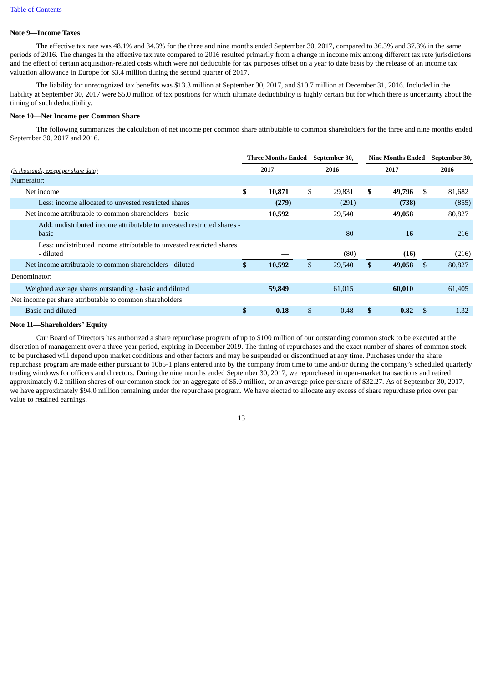### **Note 9—Income Taxes**

The effective tax rate was 48.1% and 34.3% for the three and nine months ended September 30, 2017, compared to 36.3% and 37.3% in the same periods of 2016. The changes in the effective tax rate compared to 2016 resulted primarily from a change in income mix among different tax rate jurisdictions and the effect of certain acquisition-related costs which were not deductible for tax purposes offset on a year to date basis by the release of an income tax valuation allowance in Europe for \$3.4 million during the second quarter of 2017.

The liability for unrecognized tax benefits was \$13.3 million at September 30, 2017, and \$10.7 million at December 31, 2016. Included in the liability at September 30, 2017 were \$5.0 million of tax positions for which ultimate deductibility is highly certain but for which there is uncertainty about the timing of such deductibility.

### **Note 10—Net Income per Common Share**

The following summarizes the calculation of net income per common share attributable to common shareholders for the three and nine months ended September 30, 2017 and 2016.

|                                                                                    | <b>Three Months Ended</b> |               | September 30, | <b>Nine Months Ended</b> |    | September 30, |
|------------------------------------------------------------------------------------|---------------------------|---------------|---------------|--------------------------|----|---------------|
| <i>(in thousands, except per share data)</i>                                       | 2017                      |               | 2016          | 2017                     |    | 2016          |
| Numerator:                                                                         |                           |               |               |                          |    |               |
| Net income                                                                         | \$<br>10,871              | \$            | 29.831        | \$<br>49,796             | S  | 81,682        |
| Less: income allocated to unvested restricted shares                               | (279)                     |               | (291)         | (738)                    |    | (855)         |
| Net income attributable to common shareholders - basic                             | 10,592                    |               | 29,540        | 49,058                   |    | 80,827        |
| Add: undistributed income attributable to unvested restricted shares -<br>basic    |                           |               | 80            | 16                       |    | 216           |
| Less: undistributed income attributable to unvested restricted shares<br>- diluted |                           |               | (80)          | (16)                     |    | (216)         |
| Net income attributable to common shareholders - diluted                           | 10,592                    | $\mathbf{\$}$ | 29,540        | 49,058                   |    | 80,827        |
| Denominator:                                                                       |                           |               |               |                          |    |               |
| Weighted average shares outstanding - basic and diluted                            | 59,849                    |               | 61,015        | 60,010                   |    | 61,405        |
| Net income per share attributable to common shareholders:                          |                           |               |               |                          |    |               |
| Basic and diluted                                                                  | \$<br>0.18                | $\mathbb{S}$  | 0.48          | \$<br>0.82               | -S | 1.32          |
|                                                                                    |                           |               |               |                          |    |               |

### **Note 11—Shareholders' Equity**

Our Board of Directors has authorized a share repurchase program of up to \$100 million of our outstanding common stock to be executed at the discretion of management over a three-year period, expiring in December 2019. The timing of repurchases and the exact number of shares of common stock to be purchased will depend upon market conditions and other factors and may be suspended or discontinued at any time. Purchases under the share repurchase program are made either pursuant to 10b5-1 plans entered into by the company from time to time and/or during the company's scheduled quarterly trading windows for officers and directors. During the nine months ended September 30, 2017, we repurchased in open-market transactions and retired approximately 0.2 million shares of our common stock for an aggregate of \$5.0 million, or an average price per share of \$32.27. As of September 30, 2017, we have approximately \$94.0 million remaining under the repurchase program. We have elected to allocate any excess of share repurchase price over par value to retained earnings.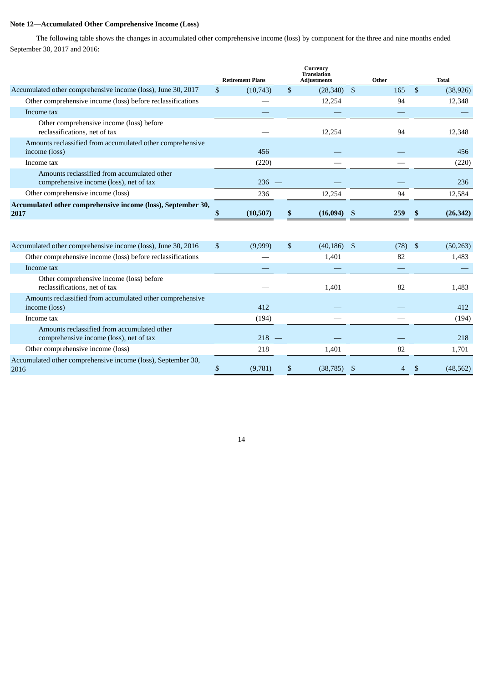## **Note 12—Accumulated Other Comprehensive Income (Loss)**

The following table shows the changes in accumulated other comprehensive income (loss) by component for the three and nine months ended September 30, 2017 and 2016:

|                                                                                        |                | <b>Retirement Plans</b>         |              | Currency<br><b>Translation</b><br><b>Adjustments</b> |                | Other |              | <b>Total</b> |
|----------------------------------------------------------------------------------------|----------------|---------------------------------|--------------|------------------------------------------------------|----------------|-------|--------------|--------------|
| Accumulated other comprehensive income (loss), June 30, 2017                           | $\mathfrak{S}$ | (10, 743)                       | $\mathbb{S}$ | (28, 348)                                            | $\mathfrak{S}$ | 165   | $\mathbf{s}$ | (38, 926)    |
| Other comprehensive income (loss) before reclassifications                             |                |                                 |              | 12,254                                               |                | 94    |              | 12,348       |
| Income tax                                                                             |                |                                 |              |                                                      |                |       |              |              |
| Other comprehensive income (loss) before<br>reclassifications, net of tax              |                |                                 |              | 12,254                                               |                | 94    |              | 12,348       |
| Amounts reclassified from accumulated other comprehensive<br>income (loss)             |                | 456                             |              |                                                      |                |       |              | 456          |
| Income tax                                                                             |                | (220)                           |              |                                                      |                |       |              | (220)        |
| Amounts reclassified from accumulated other<br>comprehensive income (loss), net of tax |                | 236                             |              |                                                      |                |       |              | 236          |
| Other comprehensive income (loss)                                                      |                | 236                             |              | 12,254                                               |                | 94    |              | 12,584       |
| Accumulated other comprehensive income (loss), September 30,<br>\$<br>2017             |                | (10,507)                        | \$           | (16,094)                                             | \$             | 259   | \$           | (26, 342)    |
|                                                                                        |                |                                 |              |                                                      |                |       |              |              |
| Accumulated other comprehensive income (loss), June 30, 2016                           | $\mathfrak{S}$ | (9,999)                         | \$           | (40, 186)                                            | \$             | (78)  | - \$         | (50, 263)    |
| Other comprehensive income (loss) before reclassifications                             |                |                                 |              | 1.401                                                |                | 82    |              | 1.483        |
| Income tax                                                                             |                |                                 |              |                                                      |                |       |              |              |
| Other comprehensive income (loss) before<br>reclassifications, net of tax              |                |                                 |              | 1,401                                                |                | 82    |              | 1,483        |
| Amounts reclassified from accumulated other comprehensive<br>income (loss)             |                | 412                             |              |                                                      |                |       |              | 412          |
| Income tax                                                                             |                | (194)                           |              |                                                      |                |       |              | (194)        |
| Amounts reclassified from accumulated other<br>comprehensive income (loss), net of tax |                | 218<br>$\overline{\phantom{a}}$ |              |                                                      |                |       |              | 218          |
| Other comprehensive income (loss)                                                      |                | 218                             |              | 1,401                                                |                | 82    |              | 1,701        |
| Accumulated other comprehensive income (loss), September 30,<br>2016                   | \$             | (9,781)                         | \$           | (38, 785)                                            | \$             | 4     | \$           | (48, 562)    |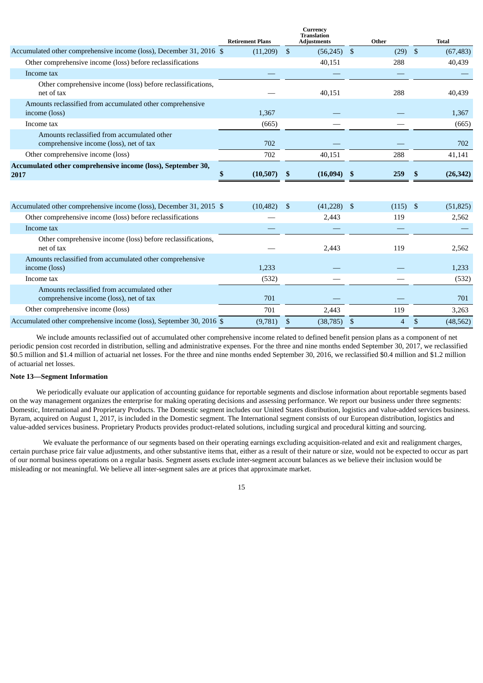| Accumulated other comprehensive income (loss), December 31, 2016 \$<br>\$<br>$\mathfrak{s}$<br>(29)<br>-\$<br>(11,209)<br>(56, 245)<br>Other comprehensive income (loss) before reclassifications<br>288<br>40,151<br>Income tax<br>Other comprehensive income (loss) before reclassifications,<br>net of tax<br>288<br>40,151<br>Amounts reclassified from accumulated other comprehensive<br>income (loss)<br>1,367<br>(665)<br>Income tax<br>Amounts reclassified from accumulated other<br>comprehensive income (loss), net of tax<br>702<br>Other comprehensive income (loss)<br>702<br>40,151<br>288<br>Accumulated other comprehensive income (loss), September 30,<br>\$<br>(10,507)<br>(16,094)<br>\$<br>259<br>\$<br>S<br>2017<br>Accumulated other comprehensive income (loss), December 31, 2015 \$<br>(10, 482)<br>\$<br>(41,228)<br>$(115)$ \$<br>-\$<br>Other comprehensive income (loss) before reclassifications<br>2,443<br>119<br>Income tax<br>Other comprehensive income (loss) before reclassifications,<br>net of tax<br>119<br>2,443<br>Amounts reclassified from accumulated other comprehensive<br>1,233<br>income (loss)<br>Income tax<br>(532)<br>Amounts reclassified from accumulated other<br>comprehensive income (loss), net of tax<br>701<br>Other comprehensive income (loss)<br>701<br>119<br>2,443<br>Accumulated other comprehensive income (loss), September 30, 2016 \$<br>\$<br>\$<br>\$<br>(9,781)<br>(38, 785)<br>$\overline{4}$ | <b>Retirement Plans</b> | Currency<br><b>Translation</b><br><b>Adjustments</b> | Other | <b>Total</b> |
|-----------------------------------------------------------------------------------------------------------------------------------------------------------------------------------------------------------------------------------------------------------------------------------------------------------------------------------------------------------------------------------------------------------------------------------------------------------------------------------------------------------------------------------------------------------------------------------------------------------------------------------------------------------------------------------------------------------------------------------------------------------------------------------------------------------------------------------------------------------------------------------------------------------------------------------------------------------------------------------------------------------------------------------------------------------------------------------------------------------------------------------------------------------------------------------------------------------------------------------------------------------------------------------------------------------------------------------------------------------------------------------------------------------------------------------------------------------------------------|-------------------------|------------------------------------------------------|-------|--------------|
|                                                                                                                                                                                                                                                                                                                                                                                                                                                                                                                                                                                                                                                                                                                                                                                                                                                                                                                                                                                                                                                                                                                                                                                                                                                                                                                                                                                                                                                                             |                         |                                                      |       | (67, 483)    |
|                                                                                                                                                                                                                                                                                                                                                                                                                                                                                                                                                                                                                                                                                                                                                                                                                                                                                                                                                                                                                                                                                                                                                                                                                                                                                                                                                                                                                                                                             |                         |                                                      |       | 40,439       |
|                                                                                                                                                                                                                                                                                                                                                                                                                                                                                                                                                                                                                                                                                                                                                                                                                                                                                                                                                                                                                                                                                                                                                                                                                                                                                                                                                                                                                                                                             |                         |                                                      |       |              |
|                                                                                                                                                                                                                                                                                                                                                                                                                                                                                                                                                                                                                                                                                                                                                                                                                                                                                                                                                                                                                                                                                                                                                                                                                                                                                                                                                                                                                                                                             |                         |                                                      |       | 40,439       |
|                                                                                                                                                                                                                                                                                                                                                                                                                                                                                                                                                                                                                                                                                                                                                                                                                                                                                                                                                                                                                                                                                                                                                                                                                                                                                                                                                                                                                                                                             |                         |                                                      |       | 1,367        |
|                                                                                                                                                                                                                                                                                                                                                                                                                                                                                                                                                                                                                                                                                                                                                                                                                                                                                                                                                                                                                                                                                                                                                                                                                                                                                                                                                                                                                                                                             |                         |                                                      |       | (665)        |
|                                                                                                                                                                                                                                                                                                                                                                                                                                                                                                                                                                                                                                                                                                                                                                                                                                                                                                                                                                                                                                                                                                                                                                                                                                                                                                                                                                                                                                                                             |                         |                                                      |       | 702          |
|                                                                                                                                                                                                                                                                                                                                                                                                                                                                                                                                                                                                                                                                                                                                                                                                                                                                                                                                                                                                                                                                                                                                                                                                                                                                                                                                                                                                                                                                             |                         |                                                      |       | 41,141       |
|                                                                                                                                                                                                                                                                                                                                                                                                                                                                                                                                                                                                                                                                                                                                                                                                                                                                                                                                                                                                                                                                                                                                                                                                                                                                                                                                                                                                                                                                             |                         |                                                      |       | (26, 342)    |
|                                                                                                                                                                                                                                                                                                                                                                                                                                                                                                                                                                                                                                                                                                                                                                                                                                                                                                                                                                                                                                                                                                                                                                                                                                                                                                                                                                                                                                                                             |                         |                                                      |       |              |
|                                                                                                                                                                                                                                                                                                                                                                                                                                                                                                                                                                                                                                                                                                                                                                                                                                                                                                                                                                                                                                                                                                                                                                                                                                                                                                                                                                                                                                                                             |                         |                                                      |       | (51, 825)    |
|                                                                                                                                                                                                                                                                                                                                                                                                                                                                                                                                                                                                                                                                                                                                                                                                                                                                                                                                                                                                                                                                                                                                                                                                                                                                                                                                                                                                                                                                             |                         |                                                      |       | 2,562        |
|                                                                                                                                                                                                                                                                                                                                                                                                                                                                                                                                                                                                                                                                                                                                                                                                                                                                                                                                                                                                                                                                                                                                                                                                                                                                                                                                                                                                                                                                             |                         |                                                      |       |              |
|                                                                                                                                                                                                                                                                                                                                                                                                                                                                                                                                                                                                                                                                                                                                                                                                                                                                                                                                                                                                                                                                                                                                                                                                                                                                                                                                                                                                                                                                             |                         |                                                      |       | 2,562        |
|                                                                                                                                                                                                                                                                                                                                                                                                                                                                                                                                                                                                                                                                                                                                                                                                                                                                                                                                                                                                                                                                                                                                                                                                                                                                                                                                                                                                                                                                             |                         |                                                      |       | 1,233        |
|                                                                                                                                                                                                                                                                                                                                                                                                                                                                                                                                                                                                                                                                                                                                                                                                                                                                                                                                                                                                                                                                                                                                                                                                                                                                                                                                                                                                                                                                             |                         |                                                      |       | (532)        |
|                                                                                                                                                                                                                                                                                                                                                                                                                                                                                                                                                                                                                                                                                                                                                                                                                                                                                                                                                                                                                                                                                                                                                                                                                                                                                                                                                                                                                                                                             |                         |                                                      |       | 701          |
|                                                                                                                                                                                                                                                                                                                                                                                                                                                                                                                                                                                                                                                                                                                                                                                                                                                                                                                                                                                                                                                                                                                                                                                                                                                                                                                                                                                                                                                                             |                         |                                                      |       | 3,263        |
|                                                                                                                                                                                                                                                                                                                                                                                                                                                                                                                                                                                                                                                                                                                                                                                                                                                                                                                                                                                                                                                                                                                                                                                                                                                                                                                                                                                                                                                                             |                         |                                                      |       | (48, 562)    |

We include amounts reclassified out of accumulated other comprehensive income related to defined benefit pension plans as a component of net periodic pension cost recorded in distribution, selling and administrative expenses. For the three and nine months ended September 30, 2017, we reclassified \$0.5 million and \$1.4 million of actuarial net losses. For the three and nine months ended September 30, 2016, we reclassified \$0.4 million and \$1.2 million of actuarial net losses.

### **Note 13—Segment Information**

We periodically evaluate our application of accounting guidance for reportable segments and disclose information about reportable segments based on the way management organizes the enterprise for making operating decisions and assessing performance. We report our business under three segments: Domestic, International and Proprietary Products. The Domestic segment includes our United States distribution, logistics and value-added services business. Byram, acquired on August 1, 2017, is included in the Domestic segment. The International segment consists of our European distribution, logistics and value-added services business. Proprietary Products provides product-related solutions, including surgical and procedural kitting and sourcing.

We evaluate the performance of our segments based on their operating earnings excluding acquisition-related and exit and realignment charges, certain purchase price fair value adjustments, and other substantive items that, either as a result of their nature or size, would not be expected to occur as part of our normal business operations on a regular basis. Segment assets exclude inter-segment account balances as we believe their inclusion would be misleading or not meaningful. We believe all inter-segment sales are at prices that approximate market.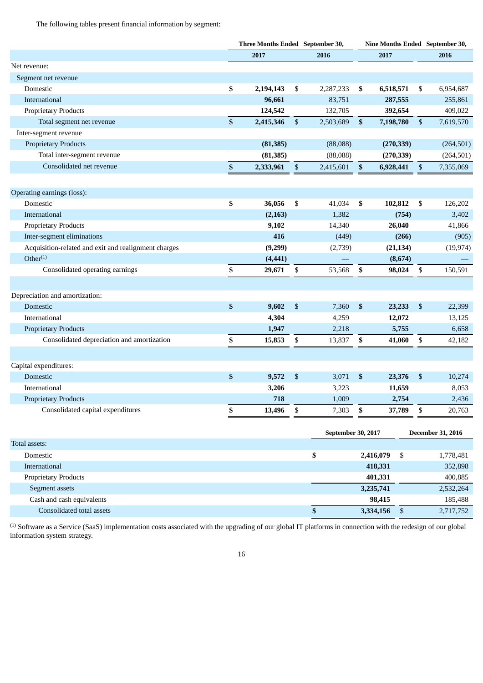The following tables present financial information by segment:

|                                                      | Three Months Ended September 30, |                           |                    | Nine Months Ended September 30, |            |                           |                          |
|------------------------------------------------------|----------------------------------|---------------------------|--------------------|---------------------------------|------------|---------------------------|--------------------------|
|                                                      | 2017                             |                           | 2016               |                                 | 2017       |                           | 2016                     |
| Net revenue:                                         |                                  |                           |                    |                                 |            |                           |                          |
| Segment net revenue                                  |                                  |                           |                    |                                 |            |                           |                          |
| Domestic                                             | \$<br>2,194,143                  | \$                        | 2,287,233          | \$                              | 6,518,571  | \$                        | 6,954,687                |
| International                                        | 96,661                           |                           | 83,751             |                                 | 287,555    |                           | 255,861                  |
| <b>Proprietary Products</b>                          | 124,542                          |                           | 132,705            |                                 | 392,654    |                           | 409,022                  |
| Total segment net revenue                            | \$<br>2,415,346                  | $\boldsymbol{\mathsf{S}}$ | 2,503,689          | $\pmb{\mathbb{S}}$              | 7,198,780  | $\boldsymbol{\mathsf{S}}$ | 7,619,570                |
| Inter-segment revenue                                |                                  |                           |                    |                                 |            |                           |                          |
| <b>Proprietary Products</b>                          | (81, 385)                        |                           | (88,088)           |                                 | (270, 339) |                           | (264, 501)               |
| Total inter-segment revenue                          | (81, 385)                        |                           | (88,088)           |                                 | (270, 339) |                           | (264, 501)               |
| Consolidated net revenue                             | \$<br>2,333,961                  | $\$$                      | 2,415,601          | \$                              | 6,928,441  | $\mathbb{S}$              | 7,355,069                |
|                                                      |                                  |                           |                    |                                 |            |                           |                          |
| Operating earnings (loss):                           |                                  |                           |                    |                                 |            |                           |                          |
| Domestic                                             | \$<br>36,056                     | \$                        | 41,034             | \$                              | 102,812    | \$                        | 126,202                  |
| International                                        | (2, 163)                         |                           | 1,382              |                                 | (754)      |                           | 3,402                    |
| <b>Proprietary Products</b>                          | 9,102                            |                           | 14,340             |                                 | 26,040     |                           | 41,866                   |
| Inter-segment eliminations                           | 416                              |                           | (449)              |                                 | (266)      |                           | (905)                    |
| Acquisition-related and exit and realignment charges | (9,299)                          |                           | (2,739)            |                                 | (21, 134)  |                           | (19, 974)                |
| Other <sup>(1)</sup>                                 | (4, 441)                         |                           |                    |                                 | (8,674)    |                           |                          |
| Consolidated operating earnings                      | \$<br>29,671                     | $\boldsymbol{\mathsf{S}}$ | 53,568             | \$                              | 98,024     | \$                        | 150,591                  |
|                                                      |                                  |                           |                    |                                 |            |                           |                          |
| Depreciation and amortization:                       |                                  |                           |                    |                                 |            |                           |                          |
| Domestic                                             | \$<br>9,602                      | $\boldsymbol{\mathsf{S}}$ | 7,360              | \$                              | 23,233     | $\boldsymbol{\mathsf{S}}$ | 22,399                   |
| International                                        | 4,304                            |                           | 4,259              |                                 | 12,072     |                           | 13,125                   |
| <b>Proprietary Products</b>                          | 1,947                            |                           | 2,218              |                                 | 5,755      |                           | 6,658                    |
| Consolidated depreciation and amortization           | \$<br>15,853                     | \$                        | 13,837             | \$                              | 41,060     | \$                        | 42,182                   |
|                                                      |                                  |                           |                    |                                 |            |                           |                          |
| Capital expenditures:                                |                                  |                           |                    |                                 |            |                           |                          |
| Domestic                                             | \$<br>9,572                      | $\boldsymbol{\mathsf{S}}$ | 3,071              | $\pmb{\mathbb{S}}$              | 23,376     | $\boldsymbol{\mathsf{S}}$ | 10,274                   |
| International                                        | 3,206                            |                           | 3,223              |                                 | 11,659     |                           | 8,053                    |
| <b>Proprietary Products</b>                          | 718                              |                           | 1,009              |                                 | 2,754      |                           | 2,436                    |
| Consolidated capital expenditures                    | \$<br>13,496                     | \$                        | 7,303              | \$                              | 37,789     | \$                        | 20,763                   |
|                                                      |                                  |                           | September 30, 2017 |                                 |            |                           | <b>December 31, 2016</b> |

|                             | September 30, 2017 |               | <b>December 31, 2016</b> |
|-----------------------------|--------------------|---------------|--------------------------|
| Total assets:               |                    |               |                          |
| Domestic                    | 2,416,079          | \$            | 1,778,481                |
| International               | 418,331            |               | 352,898                  |
| <b>Proprietary Products</b> | 401,331            |               | 400,885                  |
| Segment assets              | 3,235,741          |               | 2,532,264                |
| Cash and cash equivalents   | 98,415             |               | 185,488                  |
| Consolidated total assets   | 3,334,156          | <sup>\$</sup> | 2,717,752                |
|                             |                    |               |                          |

(1) Software as a Service (SaaS) implementation costs associated with the upgrading of our global IT platforms in connection with the redesign of our global information system strategy.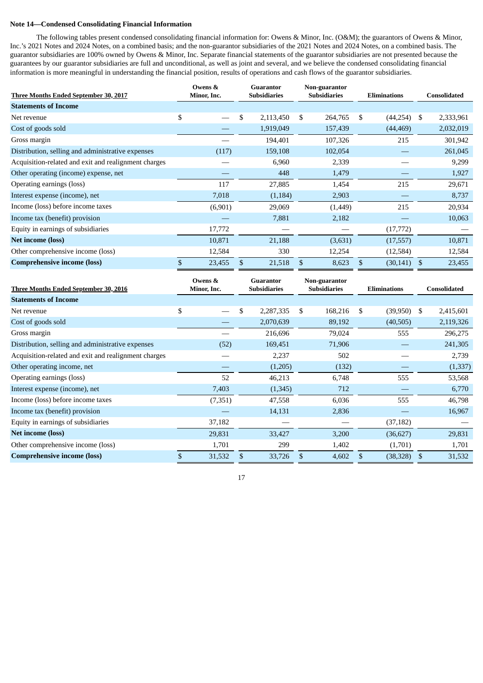#### **Note 14—Condensed Consolidating Financial Information**

The following tables present condensed consolidating financial information for: Owens & Minor, Inc. (O&M); the guarantors of Owens & Minor, Inc.'s 2021 Notes and 2024 Notes, on a combined basis; and the non-guarantor subsidiaries of the 2021 Notes and 2024 Notes, on a combined basis. The guarantor subsidiaries are 100% owned by Owens & Minor, Inc. Separate financial statements of the guarantor subsidiaries are not presented because the guarantees by our guarantor subsidiaries are full and unconditional, as well as joint and several, and we believe the condensed consolidating financial information is more meaningful in understanding the financial position, results of operations and cash flows of the guarantor subsidiaries.

|                                                      | Owens &      | Guarantor<br>Non-guarantor |                     |    |                     |     |                     |   |                     |
|------------------------------------------------------|--------------|----------------------------|---------------------|----|---------------------|-----|---------------------|---|---------------------|
| <b>Three Months Ended September 30, 2017</b>         | Minor, Inc.  |                            | <b>Subsidiaries</b> |    | <b>Subsidiaries</b> |     | <b>Eliminations</b> |   | <b>Consolidated</b> |
| <b>Statements of Income</b>                          |              |                            |                     |    |                     |     |                     |   |                     |
| Net revenue                                          | \$           | \$                         | 2,113,450           | \$ | 264,765             | \$. | (44,254)            | S | 2,333,961           |
| Cost of goods sold                                   |              |                            | 1,919,049           |    | 157,439             |     | (44, 469)           |   | 2,032,019           |
| Gross margin                                         |              |                            | 194,401             |    | 107,326             |     | 215                 |   | 301,942             |
| Distribution, selling and administrative expenses    | (117)        |                            | 159,108             |    | 102,054             |     |                     |   | 261,045             |
| Acquisition-related and exit and realignment charges |              |                            | 6,960               |    | 2,339               |     |                     |   | 9,299               |
| Other operating (income) expense, net                |              |                            | 448                 |    | 1,479               |     |                     |   | 1,927               |
| Operating earnings (loss)                            | 117          |                            | 27,885              |    | 1,454               |     | 215                 |   | 29,671              |
| Interest expense (income), net                       | 7,018        |                            | (1, 184)            |    | 2,903               |     |                     |   | 8,737               |
| Income (loss) before income taxes                    | (6,901)      |                            | 29,069              |    | (1,449)             |     | 215                 |   | 20,934              |
| Income tax (benefit) provision                       |              |                            | 7,881               |    | 2,182               |     |                     |   | 10,063              |
| Equity in earnings of subsidiaries                   | 17,772       |                            |                     |    |                     |     | (17, 772)           |   |                     |
| Net income (loss)                                    | 10,871       |                            | 21,188              |    | (3,631)             |     | (17, 557)           |   | 10,871              |
| Other comprehensive income (loss)                    | 12,584       |                            | 330                 |    | 12,254              |     | (12,584)            |   | 12,584              |
| <b>Comprehensive income (loss)</b>                   | \$<br>23,455 | \$                         | 21,518              | \$ | 8,623               |     | $(30,141)$ \$       |   | 23,455              |

| Three Months Ended September 30, 2016                |    | Owens &<br>Minor, Inc. |    | Guarantor<br><b>Subsidiaries</b> |    | Non-guarantor<br><b>Subsidiaries</b> | <b>Eliminations</b> |           |     | <b>Consolidated</b> |
|------------------------------------------------------|----|------------------------|----|----------------------------------|----|--------------------------------------|---------------------|-----------|-----|---------------------|
| <b>Statements of Income</b>                          |    |                        |    |                                  |    |                                      |                     |           |     |                     |
| Net revenue                                          | \$ |                        | \$ | 2,287,335                        | \$ | 168,216                              | S.                  | (39,950)  | \$  | 2,415,601           |
| Cost of goods sold                                   |    |                        |    | 2,070,639                        |    | 89,192                               |                     | (40, 505) |     | 2,119,326           |
| Gross margin                                         |    |                        |    | 216,696                          |    | 79,024                               |                     | 555       |     | 296,275             |
| Distribution, selling and administrative expenses    |    | (52)                   |    | 169,451                          |    | 71,906                               |                     |           |     | 241,305             |
| Acquisition-related and exit and realignment charges |    |                        |    | 2,237                            |    | 502                                  |                     |           |     | 2,739               |
| Other operating income, net                          |    |                        |    | (1,205)                          |    | (132)                                |                     |           |     | (1, 337)            |
| Operating earnings (loss)                            |    | 52                     |    | 46,213                           |    | 6,748                                |                     | 555       |     | 53,568              |
| Interest expense (income), net                       |    | 7,403                  |    | (1,345)                          |    | 712                                  |                     |           |     | 6,770               |
| Income (loss) before income taxes                    |    | (7,351)                |    | 47,558                           |    | 6,036                                |                     | 555       |     | 46,798              |
| Income tax (benefit) provision                       |    |                        |    | 14,131                           |    | 2,836                                |                     |           |     | 16,967              |
| Equity in earnings of subsidiaries                   |    | 37,182                 |    |                                  |    |                                      |                     | (37, 182) |     |                     |
| Net income (loss)                                    |    | 29,831                 |    | 33,427                           |    | 3,200                                |                     | (36,627)  |     | 29,831              |
| Other comprehensive income (loss)                    |    | 1,701                  |    | 299                              |    | 1,402                                |                     | (1,701)   |     | 1,701               |
| <b>Comprehensive income (loss)</b>                   | \$ | 31,532                 | \$ | 33,726                           | \$ | 4,602                                |                     | (38, 328) | \$. | 31,532              |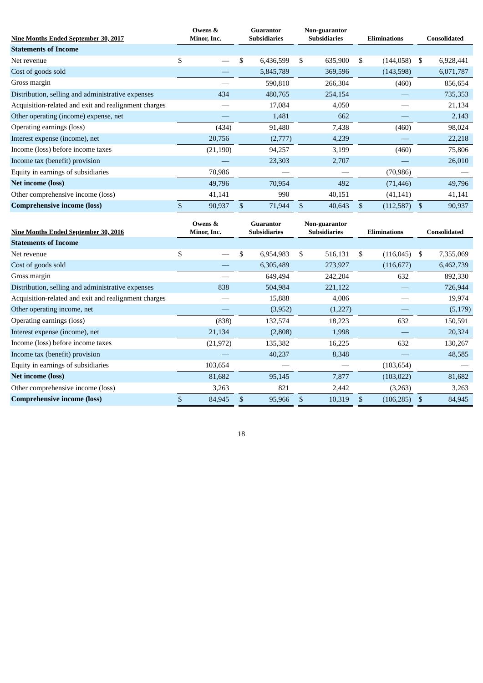| Nine Months Ended September 30, 2017                 |    | Owens &<br>Minor, Inc. |    | Guarantor<br><b>Subsidiaries</b> | Non-guarantor<br><b>Subsidiaries</b> |         | <b>Eliminations</b> |            |     | Consolidated |
|------------------------------------------------------|----|------------------------|----|----------------------------------|--------------------------------------|---------|---------------------|------------|-----|--------------|
|                                                      |    |                        |    |                                  |                                      |         |                     |            |     |              |
| <b>Statements of Income</b>                          |    |                        |    |                                  |                                      |         |                     |            |     |              |
| Net revenue                                          | \$ |                        | \$ | 6,436,599                        | \$                                   | 635,900 | \$                  | (144, 058) | \$  | 6,928,441    |
| Cost of goods sold                                   |    |                        |    | 5,845,789                        |                                      | 369,596 |                     | (143,598)  |     | 6,071,787    |
| Gross margin                                         |    |                        |    | 590,810                          |                                      | 266,304 |                     | (460)      |     | 856,654      |
| Distribution, selling and administrative expenses    |    | 434                    |    | 480,765                          |                                      | 254,154 |                     |            |     | 735,353      |
| Acquisition-related and exit and realignment charges |    |                        |    | 17,084                           |                                      | 4,050   |                     |            |     | 21,134       |
| Other operating (income) expense, net                |    |                        |    | 1,481                            |                                      | 662     |                     |            |     | 2,143        |
| Operating earnings (loss)                            |    | (434)                  |    | 91,480                           |                                      | 7,438   |                     | (460)      |     | 98,024       |
| Interest expense (income), net                       |    | 20,756                 |    | (2,777)                          |                                      | 4,239   |                     |            |     | 22,218       |
| Income (loss) before income taxes                    |    | (21, 190)              |    | 94,257                           |                                      | 3,199   |                     | (460)      |     | 75,806       |
| Income tax (benefit) provision                       |    |                        |    | 23,303                           |                                      | 2,707   |                     |            |     | 26,010       |
| Equity in earnings of subsidiaries                   |    | 70,986                 |    |                                  |                                      |         |                     | (70, 986)  |     |              |
| Net income (loss)                                    |    | 49,796                 |    | 70,954                           |                                      | 492     |                     | (71, 446)  |     | 49,796       |
| Other comprehensive income (loss)                    |    | 41,141                 |    | 990                              |                                      | 40,151  |                     | (41, 141)  |     | 41,141       |
| <b>Comprehensive income (loss)</b>                   | \$ | 90,937                 | \$ | 71,944                           | \$                                   | 40,643  |                     | (112,587)  | -\$ | 90,937       |

| <b>Nine Months Ended September 30, 2016</b>          | Owens &<br>Minor, Inc. | <b>Guarantor</b><br><b>Subsidiaries</b> | Non-guarantor<br><b>Subsidiaries</b> | <b>Eliminations</b> |            |    | Consolidated |
|------------------------------------------------------|------------------------|-----------------------------------------|--------------------------------------|---------------------|------------|----|--------------|
| <b>Statements of Income</b>                          |                        |                                         |                                      |                     |            |    |              |
| Net revenue                                          | \$                     | \$<br>6,954,983                         | \$<br>516,131                        | \$.                 | (116, 045) | S  | 7,355,069    |
| Cost of goods sold                                   |                        | 6,305,489                               | 273,927                              |                     | (116, 677) |    | 6,462,739    |
| Gross margin                                         |                        | 649,494                                 | 242,204                              |                     | 632        |    | 892,330      |
| Distribution, selling and administrative expenses    | 838                    | 504,984                                 | 221,122                              |                     |            |    | 726,944      |
| Acquisition-related and exit and realignment charges |                        | 15,888                                  | 4,086                                |                     |            |    | 19,974       |
| Other operating income, net                          |                        | (3,952)                                 | (1,227)                              |                     |            |    | (5, 179)     |
| Operating earnings (loss)                            | (838)                  | 132,574                                 | 18,223                               |                     | 632        |    | 150,591      |
| Interest expense (income), net                       | 21,134                 | (2,808)                                 | 1,998                                |                     |            |    | 20,324       |
| Income (loss) before income taxes                    | (21, 972)              | 135,382                                 | 16,225                               |                     | 632        |    | 130,267      |
| Income tax (benefit) provision                       |                        | 40,237                                  | 8,348                                |                     |            |    | 48,585       |
| Equity in earnings of subsidiaries                   | 103,654                |                                         |                                      |                     | (103, 654) |    |              |
| <b>Net income (loss)</b>                             | 81,682                 | 95,145                                  | 7,877                                |                     | (103, 022) |    | 81,682       |
| Other comprehensive income (loss)                    | 3,263                  | 821                                     | 2,442                                |                     | (3,263)    |    | 3,263        |
| <b>Comprehensive income (loss)</b>                   | 84,945                 | \$<br>95,966                            | \$<br>10,319                         |                     | (106, 285) | \$ | 84,945       |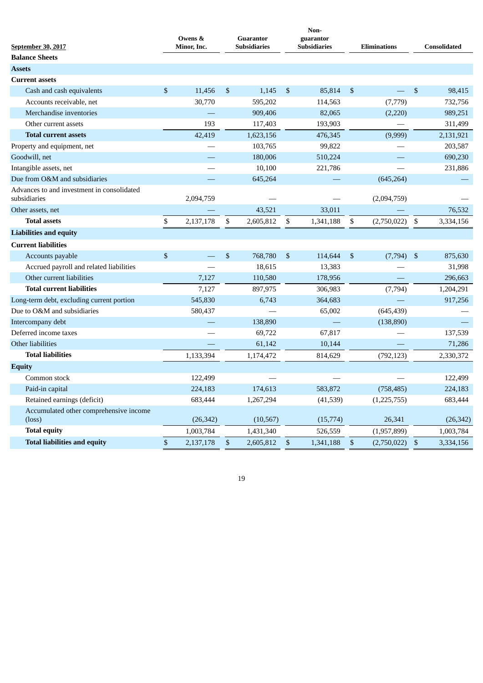| <b>September 30, 2017</b>                                  | Owens &<br>Minor, Inc. | Non-<br>Guarantor<br>guarantor<br><b>Subsidiaries</b><br><b>Subsidiaries</b> |           |      |           | <b>Eliminations</b> |             |                           | <b>Consolidated</b> |
|------------------------------------------------------------|------------------------|------------------------------------------------------------------------------|-----------|------|-----------|---------------------|-------------|---------------------------|---------------------|
| <b>Balance Sheets</b>                                      |                        |                                                                              |           |      |           |                     |             |                           |                     |
| <b>Assets</b>                                              |                        |                                                                              |           |      |           |                     |             |                           |                     |
| <b>Current assets</b>                                      |                        |                                                                              |           |      |           |                     |             |                           |                     |
| Cash and cash equivalents                                  | \$<br>11,456           | \$                                                                           | 1,145     | $\$$ | 85,814    | $\$$                |             | \$                        | 98,415              |
| Accounts receivable, net                                   | 30,770                 |                                                                              | 595,202   |      | 114,563   |                     | (7, 779)    |                           | 732,756             |
| Merchandise inventories                                    |                        |                                                                              | 909,406   |      | 82,065    |                     | (2,220)     |                           | 989,251             |
| Other current assets                                       | 193                    |                                                                              | 117,403   |      | 193,903   |                     |             |                           | 311,499             |
| <b>Total current assets</b>                                | 42,419                 |                                                                              | 1,623,156 |      | 476,345   |                     | (9,999)     |                           | 2,131,921           |
| Property and equipment, net                                |                        |                                                                              | 103,765   |      | 99,822    |                     |             |                           | 203,587             |
| Goodwill, net                                              |                        |                                                                              | 180,006   |      | 510,224   |                     |             |                           | 690,230             |
| Intangible assets, net                                     |                        |                                                                              | 10,100    |      | 221,786   |                     |             |                           | 231,886             |
| Due from O&M and subsidiaries                              |                        |                                                                              | 645,264   |      |           |                     | (645, 264)  |                           |                     |
| Advances to and investment in consolidated<br>subsidiaries | 2,094,759              |                                                                              |           |      |           |                     | (2,094,759) |                           |                     |
| Other assets, net                                          |                        |                                                                              | 43,521    |      | 33,011    |                     |             |                           | 76,532              |
| <b>Total assets</b>                                        | \$<br>2,137,178        | \$                                                                           | 2,605,812 | \$   | 1,341,188 | \$                  | (2,750,022) | \$                        | 3,334,156           |
| <b>Liabilities and equity</b>                              |                        |                                                                              |           |      |           |                     |             |                           |                     |
| <b>Current liabilities</b>                                 |                        |                                                                              |           |      |           |                     |             |                           |                     |
| Accounts payable                                           | \$                     | \$                                                                           | 768,780   | \$   | 114,644   | \$                  | (7,794)     | $\boldsymbol{\mathsf{S}}$ | 875,630             |
| Accrued payroll and related liabilities                    |                        |                                                                              | 18,615    |      | 13,383    |                     |             |                           | 31,998              |
| Other current liabilities                                  | 7,127                  |                                                                              | 110,580   |      | 178,956   |                     |             |                           | 296,663             |
| <b>Total current liabilities</b>                           | 7,127                  |                                                                              | 897,975   |      | 306,983   |                     | (7, 794)    |                           | 1,204,291           |
| Long-term debt, excluding current portion                  | 545,830                |                                                                              | 6,743     |      | 364,683   |                     |             |                           | 917,256             |
| Due to O&M and subsidiaries                                | 580,437                |                                                                              |           |      | 65,002    |                     | (645, 439)  |                           |                     |
| Intercompany debt                                          |                        |                                                                              | 138,890   |      |           |                     | (138, 890)  |                           |                     |
| Deferred income taxes                                      |                        |                                                                              | 69,722    |      | 67,817    |                     |             |                           | 137,539             |
| Other liabilities                                          |                        |                                                                              | 61,142    |      | 10,144    |                     |             |                           | 71,286              |
| <b>Total liabilities</b>                                   | 1,133,394              |                                                                              | 1,174,472 |      | 814,629   |                     | (792, 123)  |                           | 2,330,372           |
| <b>Equity</b>                                              |                        |                                                                              |           |      |           |                     |             |                           |                     |
| Common stock                                               | 122,499                |                                                                              |           |      |           |                     |             |                           | 122,499             |
| Paid-in capital                                            | 224,183                |                                                                              | 174.613   |      | 583,872   |                     | (758, 485)  |                           | 224,183             |
| Retained earnings (deficit)                                | 683,444                |                                                                              | 1,267,294 |      | (41,539)  |                     | (1,225,755) |                           | 683,444             |
| Accumulated other comprehensive income<br>$(\text{loss})$  | (26, 342)              |                                                                              | (10, 567) |      | (15,774)  |                     | 26,341      |                           | (26, 342)           |
| <b>Total equity</b>                                        | 1,003,784              |                                                                              | 1,431,340 |      | 526,559   |                     | (1,957,899) |                           | 1,003,784           |
| <b>Total liabilities and equity</b>                        | \$<br>2,137,178        | \$                                                                           | 2,605,812 | $\$$ | 1,341,188 | \$                  | (2,750,022) | $\mathcal{S}$             | 3,334,156           |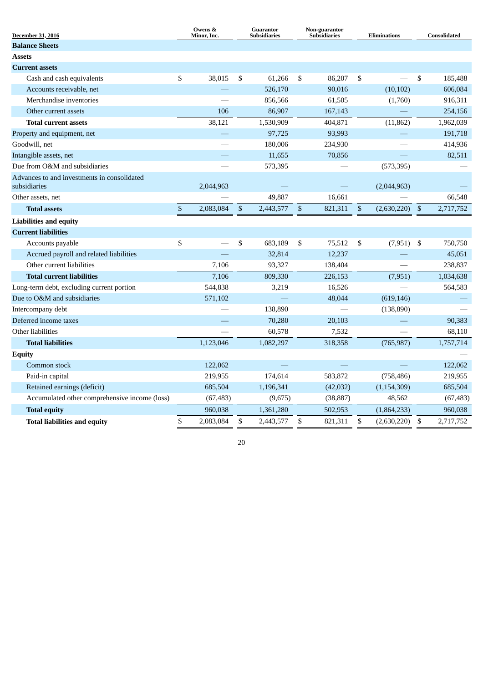| <b>December 31, 2016</b>                                    | Owens &<br>Minor, Inc. | Guarantor<br><b>Subsidiaries</b> |           |              | Non-guarantor<br><b>Subsidiaries</b> |              | <b>Eliminations</b> | Consolidated |           |
|-------------------------------------------------------------|------------------------|----------------------------------|-----------|--------------|--------------------------------------|--------------|---------------------|--------------|-----------|
| <b>Balance Sheets</b>                                       |                        |                                  |           |              |                                      |              |                     |              |           |
| Assets                                                      |                        |                                  |           |              |                                      |              |                     |              |           |
| <b>Current assets</b>                                       |                        |                                  |           |              |                                      |              |                     |              |           |
| Cash and cash equivalents                                   | \$<br>38,015           | \$                               | 61,266    | \$           | 86,207                               | \$           |                     | \$           | 185,488   |
| Accounts receivable, net                                    |                        |                                  | 526,170   |              | 90,016                               |              | (10, 102)           |              | 606,084   |
| Merchandise inventories                                     |                        |                                  | 856,566   |              | 61,505                               |              | (1,760)             |              | 916,311   |
| Other current assets                                        | 106                    |                                  | 86,907    |              | 167,143                              |              |                     |              | 254,156   |
| <b>Total current assets</b>                                 | 38,121                 |                                  | 1,530,909 |              | 404,871                              |              | (11, 862)           |              | 1,962,039 |
| Property and equipment, net                                 |                        |                                  | 97,725    |              | 93,993                               |              |                     |              | 191,718   |
| Goodwill, net                                               |                        |                                  | 180,006   |              | 234,930                              |              |                     |              | 414,936   |
| Intangible assets, net                                      |                        |                                  | 11,655    |              | 70,856                               |              |                     |              | 82,511    |
| Due from O&M and subsidiaries                               |                        |                                  | 573,395   |              |                                      |              | (573, 395)          |              |           |
| Advances to and investments in consolidated<br>subsidiaries | 2,044,963              |                                  |           |              |                                      |              | (2,044,963)         |              |           |
| Other assets, net                                           |                        |                                  | 49,887    |              | 16,661                               |              |                     |              | 66,548    |
| <b>Total assets</b>                                         | \$<br>2,083,084        | \$                               | 2,443,577 | $\mathbb{S}$ | 821,311                              | $\mathbb{S}$ | (2,630,220)         | $\mathbb{S}$ | 2,717,752 |
| <b>Liabilities and equity</b>                               |                        |                                  |           |              |                                      |              |                     |              |           |
| <b>Current liabilities</b>                                  |                        |                                  |           |              |                                      |              |                     |              |           |
| Accounts payable                                            | \$                     | \$                               | 683,189   | \$           | 75,512                               | \$           | (7,951)             | \$           | 750,750   |
| Accrued payroll and related liabilities                     |                        |                                  | 32,814    |              | 12,237                               |              |                     |              | 45,051    |
| Other current liabilities                                   | 7,106                  |                                  | 93,327    |              | 138,404                              |              |                     |              | 238,837   |
| <b>Total current liabilities</b>                            | 7,106                  |                                  | 809,330   |              | 226,153                              |              | (7,951)             |              | 1,034,638 |
| Long-term debt, excluding current portion                   | 544,838                |                                  | 3,219     |              | 16,526                               |              |                     |              | 564,583   |
| Due to O&M and subsidiaries                                 | 571,102                |                                  |           |              | 48,044                               |              | (619, 146)          |              |           |
| Intercompany debt                                           |                        |                                  | 138,890   |              |                                      |              | (138, 890)          |              |           |
| Deferred income taxes                                       |                        |                                  | 70,280    |              | 20,103                               |              |                     |              | 90,383    |
| Other liabilities                                           |                        |                                  | 60,578    |              | 7,532                                |              |                     |              | 68,110    |
| <b>Total liabilities</b>                                    | 1,123,046              |                                  | 1,082,297 |              | 318,358                              |              | (765, 987)          |              | 1,757,714 |
| <b>Equity</b>                                               |                        |                                  |           |              |                                      |              |                     |              |           |
| Common stock                                                | 122,062                |                                  |           |              |                                      |              |                     |              | 122,062   |
| Paid-in capital                                             | 219,955                |                                  | 174,614   |              | 583,872                              |              | (758, 486)          |              | 219,955   |
| Retained earnings (deficit)                                 | 685,504                |                                  | 1,196,341 |              | (42, 032)                            |              | (1, 154, 309)       |              | 685,504   |
| Accumulated other comprehensive income (loss)               | (67, 483)              |                                  | (9,675)   |              | (38, 887)                            |              | 48,562              |              | (67, 483) |
| <b>Total equity</b>                                         | 960,038                |                                  | 1,361,280 |              | 502,953                              |              | (1,864,233)         |              | 960,038   |
| <b>Total liabilities and equity</b>                         | \$<br>2,083,084        | \$                               | 2,443,577 | \$           | 821,311                              | \$           | (2,630,220)         | \$           | 2,717,752 |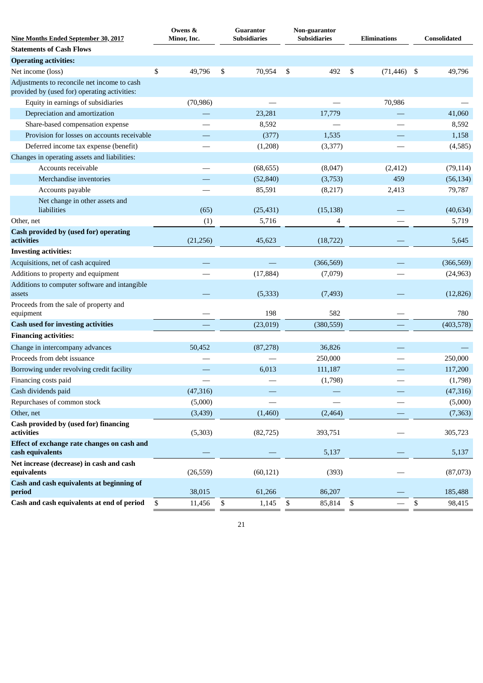| <b>Nine Months Ended September 30, 2017</b>                                                 | Owens &<br>Minor, Inc. | <b>Guarantor</b><br><b>Subsidiaries</b> | Non-guarantor<br><b>Subsidiaries</b> |    | <b>Eliminations</b> |              | Consolidated |
|---------------------------------------------------------------------------------------------|------------------------|-----------------------------------------|--------------------------------------|----|---------------------|--------------|--------------|
| <b>Statements of Cash Flows</b>                                                             |                        |                                         |                                      |    |                     |              |              |
| <b>Operating activities:</b>                                                                |                        |                                         |                                      |    |                     |              |              |
| Net income (loss)                                                                           | \$<br>49,796           | \$<br>70,954                            | \$<br>492                            | \$ | (71, 446)           | - \$         | 49,796       |
| Adjustments to reconcile net income to cash<br>provided by (used for) operating activities: |                        |                                         |                                      |    |                     |              |              |
| Equity in earnings of subsidiaries                                                          | (70, 986)              |                                         |                                      |    | 70,986              |              |              |
| Depreciation and amortization                                                               |                        | 23,281                                  | 17,779                               |    |                     |              | 41,060       |
| Share-based compensation expense                                                            |                        | 8,592                                   |                                      |    |                     |              | 8,592        |
| Provision for losses on accounts receivable                                                 |                        | (377)                                   | 1,535                                |    |                     |              | 1,158        |
| Deferred income tax expense (benefit)                                                       |                        | (1,208)                                 | (3, 377)                             |    |                     |              | (4,585)      |
| Changes in operating assets and liabilities:                                                |                        |                                         |                                      |    |                     |              |              |
| Accounts receivable                                                                         |                        | (68, 655)                               | (8,047)                              |    | (2, 412)            |              | (79, 114)    |
| Merchandise inventories                                                                     |                        | (52, 840)                               | (3,753)                              |    | 459                 |              | (56, 134)    |
| Accounts payable                                                                            |                        | 85,591                                  | (8,217)                              |    | 2,413               |              | 79,787       |
| Net change in other assets and<br>liabilities                                               | (65)                   | (25, 431)                               | (15, 138)                            |    |                     |              | (40, 634)    |
| Other, net                                                                                  | (1)                    | 5,716                                   | 4                                    |    |                     |              | 5,719        |
| Cash provided by (used for) operating<br>activities                                         | (21,256)               | 45,623                                  | (18, 722)                            |    |                     |              | 5,645        |
| <b>Investing activities:</b>                                                                |                        |                                         |                                      |    |                     |              |              |
| Acquisitions, net of cash acquired                                                          |                        |                                         | (366, 569)                           |    |                     |              | (366, 569)   |
| Additions to property and equipment                                                         |                        | (17, 884)                               | (7,079)                              |    |                     |              | (24, 963)    |
| Additions to computer software and intangible                                               |                        |                                         |                                      |    |                     |              |              |
| assets                                                                                      |                        | (5, 333)                                | (7, 493)                             |    |                     |              | (12, 826)    |
| Proceeds from the sale of property and<br>equipment                                         |                        | 198                                     | 582                                  |    |                     |              | 780          |
| <b>Cash used for investing activities</b>                                                   |                        | (23,019)                                | (380, 559)                           |    |                     |              | (403, 578)   |
| <b>Financing activities:</b>                                                                |                        |                                         |                                      |    |                     |              |              |
| Change in intercompany advances                                                             | 50,452                 | (87, 278)                               | 36,826                               |    |                     |              |              |
| Proceeds from debt issuance                                                                 |                        |                                         | 250,000                              |    |                     |              | 250,000      |
| Borrowing under revolving credit facility                                                   |                        | 6,013                                   | 111,187                              |    |                     |              | 117,200      |
| Financing costs paid                                                                        |                        |                                         | (1,798)                              |    |                     |              | (1,798)      |
| Cash dividends paid                                                                         | (47, 316)              |                                         |                                      |    |                     |              | (47, 316)    |
| Repurchases of common stock                                                                 | (5,000)                |                                         |                                      |    |                     |              | (5,000)      |
| Other, net                                                                                  | (3, 439)               | (1,460)                                 | (2, 464)                             |    |                     |              | (7, 363)     |
| Cash provided by (used for) financing                                                       |                        |                                         |                                      |    |                     |              |              |
| activities                                                                                  | (5,303)                | (82, 725)                               | 393,751                              |    |                     |              | 305,723      |
| Effect of exchange rate changes on cash and<br>cash equivalents                             |                        |                                         | 5,137                                |    |                     |              | 5,137        |
| Net increase (decrease) in cash and cash<br>equivalents                                     | (26, 559)              | (60, 121)                               | (393)                                |    |                     |              | (87,073)     |
| Cash and cash equivalents at beginning of<br>period                                         | 38,015                 | 61,266                                  | 86,207                               |    |                     |              | 185,488      |
| Cash and cash equivalents at end of period                                                  | \$<br>11,456           | \$<br>1,145                             | \$<br>85,814                         | \$ |                     | $\mathbb{S}$ | 98,415       |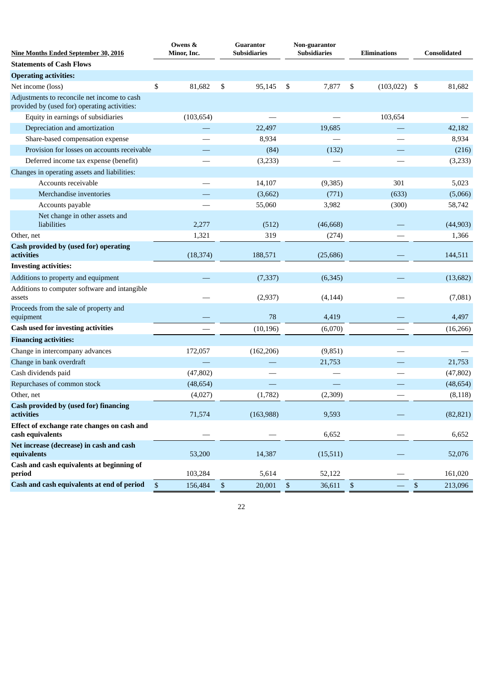| <b>Statements of Cash Flows</b><br><b>Operating activities:</b><br>\$<br>81,682<br>\$<br>Net income (loss)<br>95,145<br>\$<br>7,877<br>\$<br>(103, 022)<br>- \$<br>Adjustments to reconcile net income to cash<br>provided by (used for) operating activities:<br>(103, 654)<br>103,654<br>Equity in earnings of subsidiaries<br>Depreciation and amortization<br>22,497<br>19,685<br>Share-based compensation expense<br>8,934<br>Provision for losses on accounts receivable<br>(84)<br>(132)<br>Deferred income tax expense (benefit)<br>(3,233)<br>Changes in operating assets and liabilities:<br>Accounts receivable<br>301<br>14,107<br>(9, 385)<br>Merchandise inventories<br>(771)<br>(633)<br>(3,662)<br>Accounts payable<br>55,060<br>3,982<br>(300)<br>Net change in other assets and<br>liabilities<br>2,277<br>(46, 668)<br>(512)<br>319<br>Other, net<br>1,321<br>(274)<br>Cash provided by (used for) operating<br>activities<br>(18, 374)<br>188,571<br>(25, 686)<br><b>Investing activities:</b><br>Additions to property and equipment<br>(7, 337)<br>(6,345)<br>Additions to computer software and intangible<br>(2,937)<br>(4, 144)<br>assets<br>Proceeds from the sale of property and<br>78<br>equipment<br>4,419<br><b>Cash used for investing activities</b><br>(10, 196)<br>(6,070)<br><b>Financing activities:</b><br>Change in intercompany advances<br>172,057<br>(162, 206)<br>(9,851)<br>Change in bank overdraft<br>21,753<br>Cash dividends paid<br>(47, 802)<br>Repurchases of common stock<br>(48, 654)<br>Other, net<br>(4,027)<br>(1,782)<br>(2,309)<br><b>Cash provided by (used for) financing</b><br>(163,988)<br>71,574<br>9,593<br>activities<br>Effect of exchange rate changes on cash and<br>cash equivalents<br>6,652<br>Net increase (decrease) in cash and cash<br>53,200<br>14,387<br>equivalents<br>(15,511)<br>Cash and cash equivalents at beginning of<br>103,284<br>5,614<br>52,122<br>period | <b>Nine Months Ended September 30, 2016</b> |              | Owens &<br>Minor, Inc. | <b>Guarantor</b><br><b>Subsidiaries</b> | Non-guarantor<br><b>Subsidiaries</b> | <b>Eliminations</b> |  |              | Consolidated |  |
|-----------------------------------------------------------------------------------------------------------------------------------------------------------------------------------------------------------------------------------------------------------------------------------------------------------------------------------------------------------------------------------------------------------------------------------------------------------------------------------------------------------------------------------------------------------------------------------------------------------------------------------------------------------------------------------------------------------------------------------------------------------------------------------------------------------------------------------------------------------------------------------------------------------------------------------------------------------------------------------------------------------------------------------------------------------------------------------------------------------------------------------------------------------------------------------------------------------------------------------------------------------------------------------------------------------------------------------------------------------------------------------------------------------------------------------------------------------------------------------------------------------------------------------------------------------------------------------------------------------------------------------------------------------------------------------------------------------------------------------------------------------------------------------------------------------------------------------------------------------------------------------------------------------------------------------------------------|---------------------------------------------|--------------|------------------------|-----------------------------------------|--------------------------------------|---------------------|--|--------------|--------------|--|
|                                                                                                                                                                                                                                                                                                                                                                                                                                                                                                                                                                                                                                                                                                                                                                                                                                                                                                                                                                                                                                                                                                                                                                                                                                                                                                                                                                                                                                                                                                                                                                                                                                                                                                                                                                                                                                                                                                                                                     |                                             |              |                        |                                         |                                      |                     |  |              |              |  |
|                                                                                                                                                                                                                                                                                                                                                                                                                                                                                                                                                                                                                                                                                                                                                                                                                                                                                                                                                                                                                                                                                                                                                                                                                                                                                                                                                                                                                                                                                                                                                                                                                                                                                                                                                                                                                                                                                                                                                     |                                             |              |                        |                                         |                                      |                     |  |              |              |  |
|                                                                                                                                                                                                                                                                                                                                                                                                                                                                                                                                                                                                                                                                                                                                                                                                                                                                                                                                                                                                                                                                                                                                                                                                                                                                                                                                                                                                                                                                                                                                                                                                                                                                                                                                                                                                                                                                                                                                                     |                                             |              |                        |                                         |                                      |                     |  |              | 81,682       |  |
|                                                                                                                                                                                                                                                                                                                                                                                                                                                                                                                                                                                                                                                                                                                                                                                                                                                                                                                                                                                                                                                                                                                                                                                                                                                                                                                                                                                                                                                                                                                                                                                                                                                                                                                                                                                                                                                                                                                                                     |                                             |              |                        |                                         |                                      |                     |  |              |              |  |
|                                                                                                                                                                                                                                                                                                                                                                                                                                                                                                                                                                                                                                                                                                                                                                                                                                                                                                                                                                                                                                                                                                                                                                                                                                                                                                                                                                                                                                                                                                                                                                                                                                                                                                                                                                                                                                                                                                                                                     |                                             |              |                        |                                         |                                      |                     |  |              |              |  |
|                                                                                                                                                                                                                                                                                                                                                                                                                                                                                                                                                                                                                                                                                                                                                                                                                                                                                                                                                                                                                                                                                                                                                                                                                                                                                                                                                                                                                                                                                                                                                                                                                                                                                                                                                                                                                                                                                                                                                     |                                             |              |                        |                                         |                                      |                     |  |              | 42,182       |  |
|                                                                                                                                                                                                                                                                                                                                                                                                                                                                                                                                                                                                                                                                                                                                                                                                                                                                                                                                                                                                                                                                                                                                                                                                                                                                                                                                                                                                                                                                                                                                                                                                                                                                                                                                                                                                                                                                                                                                                     |                                             |              |                        |                                         |                                      |                     |  |              | 8,934        |  |
|                                                                                                                                                                                                                                                                                                                                                                                                                                                                                                                                                                                                                                                                                                                                                                                                                                                                                                                                                                                                                                                                                                                                                                                                                                                                                                                                                                                                                                                                                                                                                                                                                                                                                                                                                                                                                                                                                                                                                     |                                             |              |                        |                                         |                                      |                     |  |              | (216)        |  |
|                                                                                                                                                                                                                                                                                                                                                                                                                                                                                                                                                                                                                                                                                                                                                                                                                                                                                                                                                                                                                                                                                                                                                                                                                                                                                                                                                                                                                                                                                                                                                                                                                                                                                                                                                                                                                                                                                                                                                     |                                             |              |                        |                                         |                                      |                     |  |              | (3,233)      |  |
|                                                                                                                                                                                                                                                                                                                                                                                                                                                                                                                                                                                                                                                                                                                                                                                                                                                                                                                                                                                                                                                                                                                                                                                                                                                                                                                                                                                                                                                                                                                                                                                                                                                                                                                                                                                                                                                                                                                                                     |                                             |              |                        |                                         |                                      |                     |  |              |              |  |
|                                                                                                                                                                                                                                                                                                                                                                                                                                                                                                                                                                                                                                                                                                                                                                                                                                                                                                                                                                                                                                                                                                                                                                                                                                                                                                                                                                                                                                                                                                                                                                                                                                                                                                                                                                                                                                                                                                                                                     |                                             |              |                        |                                         |                                      |                     |  |              | 5,023        |  |
|                                                                                                                                                                                                                                                                                                                                                                                                                                                                                                                                                                                                                                                                                                                                                                                                                                                                                                                                                                                                                                                                                                                                                                                                                                                                                                                                                                                                                                                                                                                                                                                                                                                                                                                                                                                                                                                                                                                                                     |                                             |              |                        |                                         |                                      |                     |  |              | (5,066)      |  |
|                                                                                                                                                                                                                                                                                                                                                                                                                                                                                                                                                                                                                                                                                                                                                                                                                                                                                                                                                                                                                                                                                                                                                                                                                                                                                                                                                                                                                                                                                                                                                                                                                                                                                                                                                                                                                                                                                                                                                     |                                             |              |                        |                                         |                                      |                     |  |              | 58,742       |  |
|                                                                                                                                                                                                                                                                                                                                                                                                                                                                                                                                                                                                                                                                                                                                                                                                                                                                                                                                                                                                                                                                                                                                                                                                                                                                                                                                                                                                                                                                                                                                                                                                                                                                                                                                                                                                                                                                                                                                                     |                                             |              |                        |                                         |                                      |                     |  |              | (44, 903)    |  |
|                                                                                                                                                                                                                                                                                                                                                                                                                                                                                                                                                                                                                                                                                                                                                                                                                                                                                                                                                                                                                                                                                                                                                                                                                                                                                                                                                                                                                                                                                                                                                                                                                                                                                                                                                                                                                                                                                                                                                     |                                             |              |                        |                                         |                                      |                     |  |              | 1,366        |  |
|                                                                                                                                                                                                                                                                                                                                                                                                                                                                                                                                                                                                                                                                                                                                                                                                                                                                                                                                                                                                                                                                                                                                                                                                                                                                                                                                                                                                                                                                                                                                                                                                                                                                                                                                                                                                                                                                                                                                                     |                                             |              |                        |                                         |                                      |                     |  |              | 144,511      |  |
|                                                                                                                                                                                                                                                                                                                                                                                                                                                                                                                                                                                                                                                                                                                                                                                                                                                                                                                                                                                                                                                                                                                                                                                                                                                                                                                                                                                                                                                                                                                                                                                                                                                                                                                                                                                                                                                                                                                                                     |                                             |              |                        |                                         |                                      |                     |  |              |              |  |
|                                                                                                                                                                                                                                                                                                                                                                                                                                                                                                                                                                                                                                                                                                                                                                                                                                                                                                                                                                                                                                                                                                                                                                                                                                                                                                                                                                                                                                                                                                                                                                                                                                                                                                                                                                                                                                                                                                                                                     |                                             |              |                        |                                         |                                      |                     |  |              | (13, 682)    |  |
|                                                                                                                                                                                                                                                                                                                                                                                                                                                                                                                                                                                                                                                                                                                                                                                                                                                                                                                                                                                                                                                                                                                                                                                                                                                                                                                                                                                                                                                                                                                                                                                                                                                                                                                                                                                                                                                                                                                                                     |                                             |              |                        |                                         |                                      |                     |  |              | (7,081)      |  |
|                                                                                                                                                                                                                                                                                                                                                                                                                                                                                                                                                                                                                                                                                                                                                                                                                                                                                                                                                                                                                                                                                                                                                                                                                                                                                                                                                                                                                                                                                                                                                                                                                                                                                                                                                                                                                                                                                                                                                     |                                             |              |                        |                                         |                                      |                     |  |              | 4,497        |  |
|                                                                                                                                                                                                                                                                                                                                                                                                                                                                                                                                                                                                                                                                                                                                                                                                                                                                                                                                                                                                                                                                                                                                                                                                                                                                                                                                                                                                                                                                                                                                                                                                                                                                                                                                                                                                                                                                                                                                                     |                                             |              |                        |                                         |                                      |                     |  |              | (16, 266)    |  |
|                                                                                                                                                                                                                                                                                                                                                                                                                                                                                                                                                                                                                                                                                                                                                                                                                                                                                                                                                                                                                                                                                                                                                                                                                                                                                                                                                                                                                                                                                                                                                                                                                                                                                                                                                                                                                                                                                                                                                     |                                             |              |                        |                                         |                                      |                     |  |              |              |  |
|                                                                                                                                                                                                                                                                                                                                                                                                                                                                                                                                                                                                                                                                                                                                                                                                                                                                                                                                                                                                                                                                                                                                                                                                                                                                                                                                                                                                                                                                                                                                                                                                                                                                                                                                                                                                                                                                                                                                                     |                                             |              |                        |                                         |                                      |                     |  |              |              |  |
|                                                                                                                                                                                                                                                                                                                                                                                                                                                                                                                                                                                                                                                                                                                                                                                                                                                                                                                                                                                                                                                                                                                                                                                                                                                                                                                                                                                                                                                                                                                                                                                                                                                                                                                                                                                                                                                                                                                                                     |                                             |              |                        |                                         |                                      |                     |  |              | 21,753       |  |
|                                                                                                                                                                                                                                                                                                                                                                                                                                                                                                                                                                                                                                                                                                                                                                                                                                                                                                                                                                                                                                                                                                                                                                                                                                                                                                                                                                                                                                                                                                                                                                                                                                                                                                                                                                                                                                                                                                                                                     |                                             |              |                        |                                         |                                      |                     |  |              | (47, 802)    |  |
|                                                                                                                                                                                                                                                                                                                                                                                                                                                                                                                                                                                                                                                                                                                                                                                                                                                                                                                                                                                                                                                                                                                                                                                                                                                                                                                                                                                                                                                                                                                                                                                                                                                                                                                                                                                                                                                                                                                                                     |                                             |              |                        |                                         |                                      |                     |  |              | (48, 654)    |  |
|                                                                                                                                                                                                                                                                                                                                                                                                                                                                                                                                                                                                                                                                                                                                                                                                                                                                                                                                                                                                                                                                                                                                                                                                                                                                                                                                                                                                                                                                                                                                                                                                                                                                                                                                                                                                                                                                                                                                                     |                                             |              |                        |                                         |                                      |                     |  |              | (8, 118)     |  |
|                                                                                                                                                                                                                                                                                                                                                                                                                                                                                                                                                                                                                                                                                                                                                                                                                                                                                                                                                                                                                                                                                                                                                                                                                                                                                                                                                                                                                                                                                                                                                                                                                                                                                                                                                                                                                                                                                                                                                     |                                             |              |                        |                                         |                                      |                     |  |              | (82, 821)    |  |
|                                                                                                                                                                                                                                                                                                                                                                                                                                                                                                                                                                                                                                                                                                                                                                                                                                                                                                                                                                                                                                                                                                                                                                                                                                                                                                                                                                                                                                                                                                                                                                                                                                                                                                                                                                                                                                                                                                                                                     |                                             |              |                        |                                         |                                      |                     |  |              | 6,652        |  |
|                                                                                                                                                                                                                                                                                                                                                                                                                                                                                                                                                                                                                                                                                                                                                                                                                                                                                                                                                                                                                                                                                                                                                                                                                                                                                                                                                                                                                                                                                                                                                                                                                                                                                                                                                                                                                                                                                                                                                     |                                             |              |                        |                                         |                                      |                     |  |              | 52,076       |  |
|                                                                                                                                                                                                                                                                                                                                                                                                                                                                                                                                                                                                                                                                                                                                                                                                                                                                                                                                                                                                                                                                                                                                                                                                                                                                                                                                                                                                                                                                                                                                                                                                                                                                                                                                                                                                                                                                                                                                                     |                                             |              |                        |                                         |                                      |                     |  |              | 161,020      |  |
|                                                                                                                                                                                                                                                                                                                                                                                                                                                                                                                                                                                                                                                                                                                                                                                                                                                                                                                                                                                                                                                                                                                                                                                                                                                                                                                                                                                                                                                                                                                                                                                                                                                                                                                                                                                                                                                                                                                                                     | Cash and cash equivalents at end of period  | $\mathbb{S}$ | 156,484                | \$<br>20,001                            | \$<br>36,611                         | $\mathfrak{S}$      |  | $\mathbb{S}$ | 213,096      |  |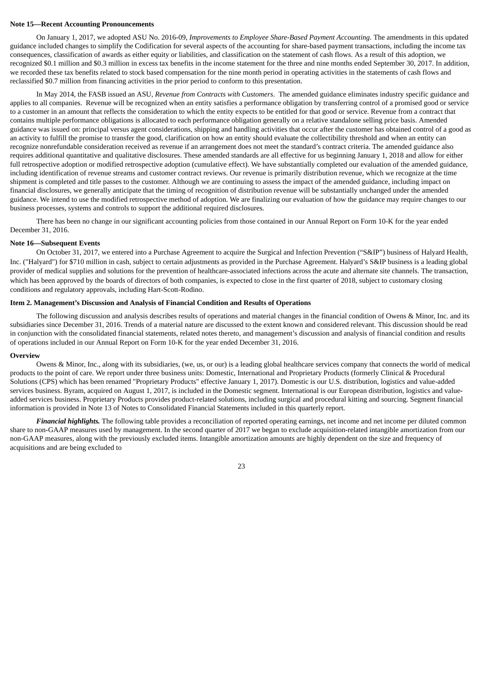#### **Note 15—Recent Accounting Pronouncements**

On January 1, 2017, we adopted ASU No. 2016-09, *Improvements to Employee Share-Based Payment Accounting.* The amendments in this updated guidance included changes to simplify the Codification for several aspects of the accounting for share-based payment transactions, including the income tax consequences, classification of awards as either equity or liabilities, and classification on the statement of cash flows. As a result of this adoption, we recognized \$0.1 million and \$0.3 million in excess tax benefits in the income statement for the three and nine months ended September 30, 2017. In addition, we recorded these tax benefits related to stock based compensation for the nine month period in operating activities in the statements of cash flows and reclassified \$0.7 million from financing activities in the prior period to conform to this presentation.

In May 2014, the FASB issued an ASU, *Revenue from Contracts with Customers*. The amended guidance eliminates industry specific guidance and applies to all companies. Revenue will be recognized when an entity satisfies a performance obligation by transferring control of a promised good or service to a customer in an amount that reflects the consideration to which the entity expects to be entitled for that good or service. Revenue from a contract that contains multiple performance obligations is allocated to each performance obligation generally on a relative standalone selling price basis. Amended guidance was issued on: principal versus agent considerations, shipping and handling activities that occur after the customer has obtained control of a good as an activity to fulfill the promise to transfer the good, clarification on how an entity should evaluate the collectibility threshold and when an entity can recognize nonrefundable consideration received as revenue if an arrangement does not meet the standard's contract criteria. The amended guidance also requires additional quantitative and qualitative disclosures. These amended standards are all effective for us beginning January 1, 2018 and allow for either full retrospective adoption or modified retrospective adoption (cumulative effect). We have substantially completed our evaluation of the amended guidance, including identification of revenue streams and customer contract reviews. Our revenue is primarily distribution revenue, which we recognize at the time shipment is completed and title passes to the customer. Although we are continuing to assess the impact of the amended guidance, including impact on financial disclosures, we generally anticipate that the timing of recognition of distribution revenue will be substantially unchanged under the amended guidance. We intend to use the modified retrospective method of adoption. We are finalizing our evaluation of how the guidance may require changes to our business processes, systems and controls to support the additional required disclosures.

There has been no change in our significant accounting policies from those contained in our Annual Report on Form 10-K for the year ended December 31, 2016.

#### **Note 16—Subsequent Events**

On October 31, 2017, we entered into a Purchase Agreement to acquire the Surgical and Infection Prevention ("S&IP") business of Halyard Health, Inc. ("Halyard") for \$710 million in cash, subject to certain adjustments as provided in the Purchase Agreement. Halyard's S&IP business is a leading global provider of medical supplies and solutions for the prevention of healthcare-associated infections across the acute and alternate site channels. The transaction, which has been approved by the boards of directors of both companies, is expected to close in the first quarter of 2018, subject to customary closing conditions and regulatory approvals, including Hart-Scott-Rodino.

#### <span id="page-22-0"></span>**Item 2. Management's Discussion and Analysis of Financial Condition and Results of Operations**

The following discussion and analysis describes results of operations and material changes in the financial condition of Owens & Minor, Inc. and its subsidiaries since December 31, 2016. Trends of a material nature are discussed to the extent known and considered relevant. This discussion should be read in conjunction with the consolidated financial statements, related notes thereto, and management's discussion and analysis of financial condition and results of operations included in our Annual Report on Form 10-K for the year ended December 31, 2016.

#### **Overview**

Owens & Minor, Inc., along with its subsidiaries, (we, us, or our) is a leading global healthcare services company that connects the world of medical products to the point of care. We report under three business units: Domestic, International and Proprietary Products (formerly Clinical & Procedural Solutions (CPS) which has been renamed "Proprietary Products" effective January 1, 2017). Domestic is our U.S. distribution, logistics and value-added services business. Byram, acquired on August 1, 2017, is included in the Domestic segment. International is our European distribution, logistics and valueadded services business. Proprietary Products provides product-related solutions, including surgical and procedural kitting and sourcing. Segment financial information is provided in Note 13 of Notes to Consolidated Financial Statements included in this quarterly report.

*Financial highlights.* The following table provides a reconciliation of reported operating earnings, net income and net income per diluted common share to non-GAAP measures used by management. In the second quarter of 2017 we began to exclude acquisition-related intangible amortization from our non-GAAP measures, along with the previously excluded items. Intangible amortization amounts are highly dependent on the size and frequency of acquisitions and are being excluded to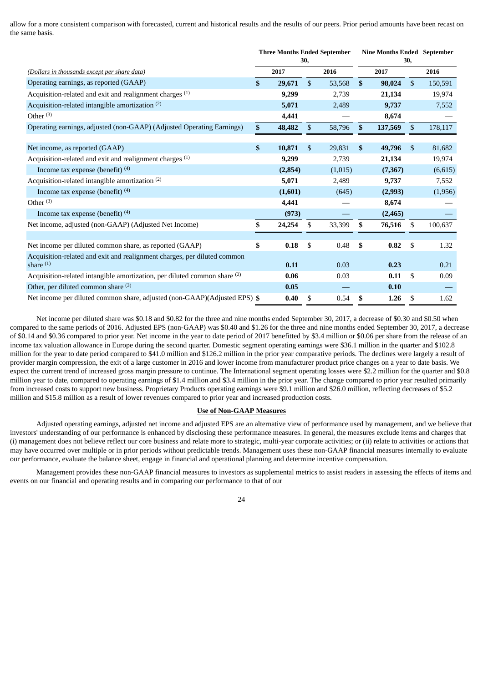allow for a more consistent comparison with forecasted, current and historical results and the results of our peers. Prior period amounts have been recast on the same basis.

|                                                                           | <b>Three Months Ended September</b> | 30, |         | <b>Nine Months Ended September</b> | 30,            |         |
|---------------------------------------------------------------------------|-------------------------------------|-----|---------|------------------------------------|----------------|---------|
| (Dollars in thousands except per share data)                              | 2017                                |     | 2016    | 2017                               |                | 2016    |
| Operating earnings, as reported (GAAP)                                    | \$<br>29,671                        | \$  | 53,568  | \$<br>98,024                       | $\mathbb{S}$   | 150,591 |
| Acquisition-related and exit and realignment charges <sup>(1)</sup>       | 9,299                               |     | 2,739   | 21,134                             |                | 19,974  |
| Acquisition-related intangible amortization <sup>(2)</sup>                | 5,071                               |     | 2,489   | 9,737                              |                | 7,552   |
| Other $(3)$                                                               | 4,441                               |     |         | 8,674                              |                |         |
| Operating earnings, adjusted (non-GAAP) (Adjusted Operating Earnings)     | \$<br>48,482                        | \$  | 58,796  | \$<br>137,569                      | $\mathfrak{S}$ | 178,117 |
|                                                                           |                                     |     |         |                                    |                |         |
| Net income, as reported (GAAP)                                            | \$<br>10,871                        | \$  | 29,831  | \$<br>49,796                       | $\mathbb{S}$   | 81,682  |
| Acquisition-related and exit and realignment charges (1)                  | 9,299                               |     | 2,739   | 21,134                             |                | 19,974  |
| Income tax expense (benefit) (4)                                          | (2, 854)                            |     | (1,015) | (7, 367)                           |                | (6,615) |
| Acquisition-related intangible amortization <sup>(2)</sup>                | 5.071                               |     | 2,489   | 9,737                              |                | 7,552   |
| Income tax expense (benefit) $(4)$                                        | (1,601)                             |     | (645)   | (2,993)                            |                | (1,956) |
| Other $(3)$                                                               | 4,441                               |     |         | 8,674                              |                |         |
| Income tax expense (benefit) (4)                                          | (973)                               |     |         | (2,465)                            |                |         |
| Net income, adjusted (non-GAAP) (Adjusted Net Income)                     | \$<br>24,254                        | \$  | 33,399  | \$<br>76,516                       | \$             | 100,637 |
|                                                                           |                                     |     |         |                                    |                |         |
| Net income per diluted common share, as reported (GAAP)                   | \$<br>0.18                          | \$  | 0.48    | \$<br>0.82                         | \$             | 1.32    |
| Acquisition-related and exit and realignment charges, per diluted common  |                                     |     |         |                                    |                |         |
| share $(1)$                                                               | 0.11                                |     | 0.03    | 0.23                               |                | 0.21    |
| Acquisition-related intangible amortization, per diluted common share (2) | 0.06                                |     | 0.03    | 0.11                               | \$             | 0.09    |
| Other, per diluted common share (3)                                       | 0.05                                |     |         | 0.10                               |                |         |
| Net income per diluted common share, adjusted (non-GAAP)(Adjusted EPS) \$ | 0.40                                | \$  | 0.54    | \$<br>1.26                         | \$             | 1.62    |

Net income per diluted share was \$0.18 and \$0.82 for the three and nine months ended September 30, 2017, a decrease of \$0.30 and \$0.50 when compared to the same periods of 2016. Adjusted EPS (non-GAAP) was \$0.40 and \$1.26 for the three and nine months ended September 30, 2017, a decrease of \$0.14 and \$0.36 compared to prior year. Net income in the year to date period of 2017 benefitted by \$3.4 million or \$0.06 per share from the release of an income tax valuation allowance in Europe during the second quarter. Domestic segment operating earnings were \$36.1 million in the quarter and \$102.8 million for the year to date period compared to \$41.0 million and \$126.2 million in the prior year comparative periods. The declines were largely a result of provider margin compression, the exit of a large customer in 2016 and lower income from manufacturer product price changes on a year to date basis. We expect the current trend of increased gross margin pressure to continue. The International segment operating losses were \$2.2 million for the quarter and \$0.8 million year to date, compared to operating earnings of \$1.4 million and \$3.4 million in the prior year. The change compared to prior year resulted primarily from increased costs to support new business. Proprietary Products operating earnings were \$9.1 million and \$26.0 million, reflecting decreases of \$5.2 million and \$15.8 million as a result of lower revenues compared to prior year and increased production costs.

#### **Use of Non-GAAP Measures**

Adjusted operating earnings, adjusted net income and adjusted EPS are an alternative view of performance used by management, and we believe that investors' understanding of our performance is enhanced by disclosing these performance measures. In general, the measures exclude items and charges that (i) management does not believe reflect our core business and relate more to strategic, multi-year corporate activities; or (ii) relate to activities or actions that may have occurred over multiple or in prior periods without predictable trends. Management uses these non-GAAP financial measures internally to evaluate our performance, evaluate the balance sheet, engage in financial and operational planning and determine incentive compensation.

Management provides these non-GAAP financial measures to investors as supplemental metrics to assist readers in assessing the effects of items and events on our financial and operating results and in comparing our performance to that of our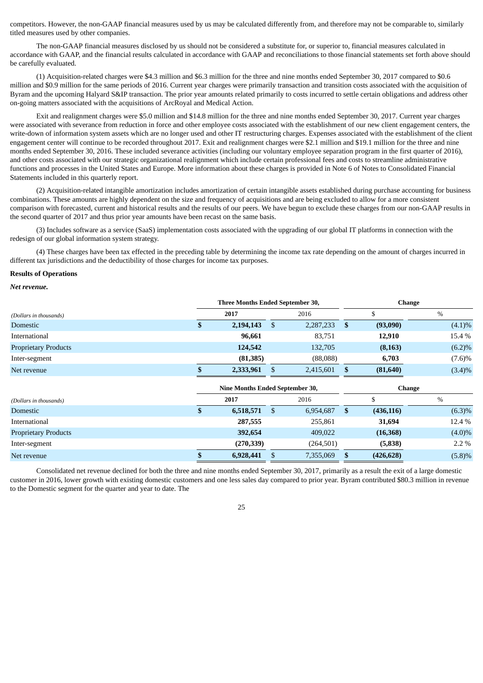competitors. However, the non-GAAP financial measures used by us may be calculated differently from, and therefore may not be comparable to, similarly titled measures used by other companies.

The non-GAAP financial measures disclosed by us should not be considered a substitute for, or superior to, financial measures calculated in accordance with GAAP, and the financial results calculated in accordance with GAAP and reconciliations to those financial statements set forth above should be carefully evaluated.

(1) Acquisition-related charges were \$4.3 million and \$6.3 million for the three and nine months ended September 30, 2017 compared to \$0.6 million and \$0.9 million for the same periods of 2016. Current year charges were primarily transaction and transition costs associated with the acquisition of Byram and the upcoming Halyard S&IP transaction. The prior year amounts related primarily to costs incurred to settle certain obligations and address other on-going matters associated with the acquisitions of ArcRoyal and Medical Action.

Exit and realignment charges were \$5.0 million and \$14.8 million for the three and nine months ended September 30, 2017. Current year charges were associated with severance from reduction in force and other employee costs associated with the establishment of our new client engagement centers, the write-down of information system assets which are no longer used and other IT restructuring charges. Expenses associated with the establishment of the client engagement center will continue to be recorded throughout 2017. Exit and realignment charges were \$2.1 million and \$19.1 million for the three and nine months ended September 30, 2016. These included severance activities (including our voluntary employee separation program in the first quarter of 2016), and other costs associated with our strategic organizational realignment which include certain professional fees and costs to streamline administrative functions and processes in the United States and Europe. More information about these charges is provided in Note 6 of Notes to Consolidated Financial Statements included in this quarterly report.

(2) Acquisition-related intangible amortization includes amortization of certain intangible assets established during purchase accounting for business combinations. These amounts are highly dependent on the size and frequency of acquisitions and are being excluded to allow for a more consistent comparison with forecasted, current and historical results and the results of our peers. We have begun to exclude these charges from our non-GAAP results in the second quarter of 2017 and thus prior year amounts have been recast on the same basis.

(3) Includes software as a service (SaaS) implementation costs associated with the upgrading of our global IT platforms in connection with the redesign of our global information system strategy.

(4) These charges have been tax effected in the preceding table by determining the income tax rate depending on the amount of charges incurred in different tax jurisdictions and the deductibility of those charges for income tax purposes.

#### **Results of Operations**

#### *Net revenue.*

|                             | Three Months Ended September 30, |               |            | <b>Change</b> |            |               |  |
|-----------------------------|----------------------------------|---------------|------------|---------------|------------|---------------|--|
| (Dollars in thousands)      | 2017                             |               | 2016       |               | \$         | $\frac{0}{0}$ |  |
| Domestic                    | \$<br>2,194,143                  | $\mathbb{S}$  | 2,287,233  | <sup>\$</sup> | (93,090)   | (4.1)%        |  |
| International               | 96,661                           |               | 83,751     |               | 12,910     | 15.4 %        |  |
| <b>Proprietary Products</b> | 124,542                          |               | 132,705    |               | (8, 163)   | (6.2)%        |  |
| Inter-segment               | (81, 385)                        |               | (88,088)   |               | 6,703      | $(7.6)\%$     |  |
| Net revenue                 | 2,333,961                        | <sup>\$</sup> | 2,415,601  | <sup>\$</sup> | (81, 640)  | $(3.4)\%$     |  |
|                             | Nine Months Ended September 30,  |               |            | Change        |            |               |  |
| (Dollars in thousands)      | 2017                             |               | 2016       |               | \$         | $\%$          |  |
| Domestic                    | \$<br>6,518,571                  | $\mathbb{S}$  | 6,954,687  | <sup>\$</sup> | (436, 116) | $(6.3)\%$     |  |
| International               | 287,555                          |               | 255,861    |               | 31,694     | 12.4 %        |  |
| <b>Proprietary Products</b> | 392,654                          |               | 409,022    |               | (16, 368)  | $(4.0)\%$     |  |
| Inter-segment               | (270, 339)                       |               | (264, 501) |               | (5,838)    | $2.2\%$       |  |
| Net revenue                 | \$<br>6,928,441                  | \$            | 7,355,069  | S             | (426, 628) | (5.8)%        |  |

Consolidated net revenue declined for both the three and nine months ended September 30, 2017, primarily as a result the exit of a large domestic customer in 2016, lower growth with existing domestic customers and one less sales day compared to prior year. Byram contributed \$80.3 million in revenue to the Domestic segment for the quarter and year to date. The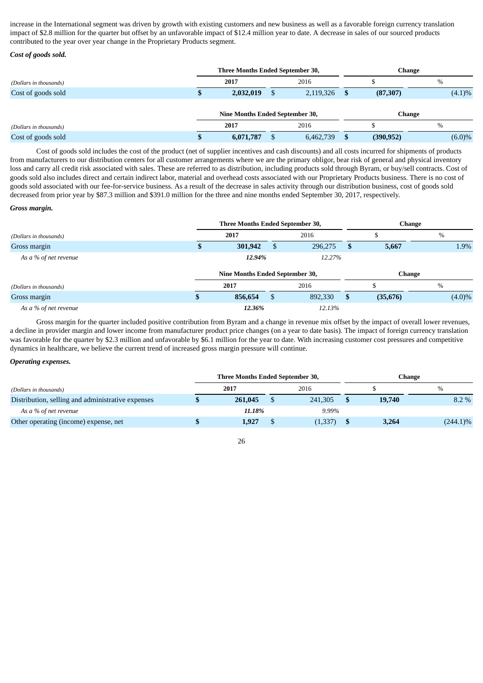increase in the International segment was driven by growth with existing customers and new business as well as a favorable foreign currency translation impact of \$2.8 million for the quarter but offset by an unfavorable impact of \$12.4 million year to date. A decrease in sales of our sourced products contributed to the year over year change in the Proprietary Products segment.

#### *Cost of goods sold.*

|                        |   | Three Months Ended September 30, |   |           |  | Change     |           |  |  |
|------------------------|---|----------------------------------|---|-----------|--|------------|-----------|--|--|
| (Dollars in thousands) |   | 2017                             |   | 2016      |  |            | $\%$      |  |  |
| Cost of goods sold     | Φ | 2,032,019                        | S | 2,119,326 |  | (87,307)   | $(4.1)\%$ |  |  |
|                        |   | Nine Months Ended September 30,  |   |           |  |            | Change    |  |  |
| (Dollars in thousands) |   | 2017                             |   | 2016      |  |            | $\%$      |  |  |
| Cost of goods sold     |   | 6,071,787                        |   | 6,462,739 |  | (390, 952) | $(6.0)\%$ |  |  |

Cost of goods sold includes the cost of the product (net of supplier incentives and cash discounts) and all costs incurred for shipments of products from manufacturers to our distribution centers for all customer arrangements where we are the primary obligor, bear risk of general and physical inventory loss and carry all credit risk associated with sales. These are referred to as distribution, including products sold through Byram, or buy/sell contracts. Cost of goods sold also includes direct and certain indirect labor, material and overhead costs associated with our Proprietary Products business. There is no cost of goods sold associated with our fee-for-service business. As a result of the decrease in sales activity through our distribution business, cost of goods sold decreased from prior year by \$87.3 million and \$391.0 million for the three and nine months ended September 30, 2017, respectively.

#### *Gross margin.*

|                        |    |      | Three Months Ended September 30, |               | <b>Change</b> |              |          |           |  |
|------------------------|----|------|----------------------------------|---------------|---------------|--------------|----------|-----------|--|
| (Dollars in thousands) |    | 2017 |                                  |               | 2016          |              |          | $\%$      |  |
| Gross margin           |    | Ф    | 301,942                          | 296,275<br>-S |               | 5,667<br>-56 |          | 1.9%      |  |
| As a % of net revenue  |    |      | 12.94%                           |               | 12.27%        |              |          |           |  |
|                        |    |      | Nine Months Ended September 30,  |               |               | Change       |          |           |  |
| (Dollars in thousands) |    | 2017 |                                  |               | 2016          |              |          | $\%$      |  |
| Gross margin           | \$ |      | 856,654                          | -S            | 892,330       | - \$         | (35,676) | $(4.0)\%$ |  |
| As a % of net revenue  |    |      | 12.36%                           |               | 12.13%        |              |          |           |  |

Gross margin for the quarter included positive contribution from Byram and a change in revenue mix offset by the impact of overall lower revenues, a decline in provider margin and lower income from manufacturer product price changes (on a year to date basis). The impact of foreign currency translation was favorable for the quarter by \$2.3 million and unfavorable by \$6.1 million for the year to date. With increasing customer cost pressures and competitive dynamics in healthcare, we believe the current trend of increased gross margin pressure will continue.

#### *Operating expenses.*

|                                                   | Three Months Ended September 30, |         | Change |             |  |  |
|---------------------------------------------------|----------------------------------|---------|--------|-------------|--|--|
| (Dollars in thousands)                            | 2017                             | 2016    |        | $\%$        |  |  |
| Distribution, selling and administrative expenses | 261,045                          | 241,305 | 19,740 | $8.2\%$     |  |  |
| As a % of net revenue                             | 11.18%                           | 9.99%   |        |             |  |  |
| Other operating (income) expense, net             | 1.927                            | (1,337) | 3,264  | $(244.1)\%$ |  |  |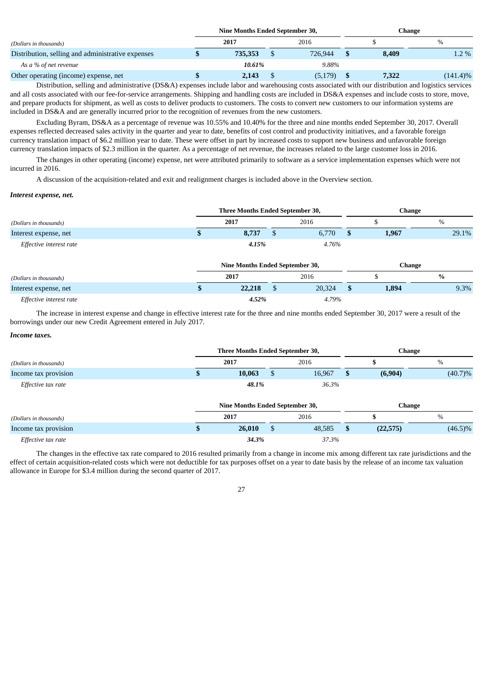|                                                   | Nine Months Ended September 30, |          | Change |               |  |  |
|---------------------------------------------------|---------------------------------|----------|--------|---------------|--|--|
| (Dollars in thousands)                            | 2017                            | 2016     |        | $\frac{0}{0}$ |  |  |
| Distribution, selling and administrative expenses | 735,353                         | 726,944  | 8.409  | $1.2\%$       |  |  |
| As a % of net revenue                             | 10.61%                          | 9.88%    |        |               |  |  |
| Other operating (income) expense, net             | 2,143                           | (5, 179) | 7,322  | $(141.4)\%$   |  |  |

Distribution, selling and administrative (DS&A) expenses include labor and warehousing costs associated with our distribution and logistics services and all costs associated with our fee-for-service arrangements. Shipping and handling costs are included in DS&A expenses and include costs to store, move, and prepare products for shipment, as well as costs to deliver products to customers. The costs to convert new customers to our information systems are included in DS&A and are generally incurred prior to the recognition of revenues from the new customers.

Excluding Byram, DS&A as a percentage of revenue was 10.55% and 10.40% for the three and nine months ended September 30, 2017. Overall expenses reflected decreased sales activity in the quarter and year to date, benefits of cost control and productivity initiatives, and a favorable foreign currency translation impact of \$6.2 million year to date. These were offset in part by increased costs to support new business and unfavorable foreign currency translation impacts of \$2.3 million in the quarter. As a percentage of net revenue, the increases related to the large customer loss in 2016.

The changes in other operating (income) expense, net were attributed primarily to software as a service implementation expenses which were not incurred in 2016.

A discussion of the acquisition-related and exit and realignment charges is included above in the Overview section.

#### *Interest expense, net.*

|                         |   | Three Months Ended September 30, |      | <b>Change</b> |      |               |         |  |  |  |  |
|-------------------------|---|----------------------------------|------|---------------|------|---------------|---------|--|--|--|--|
| (Dollars in thousands)  |   | 2017                             |      | 2016          |      |               | $\%$    |  |  |  |  |
| Interest expense, net   | Φ | 8,737                            | -S   | 6,770         | - \$ | 1,967         | 29.1%   |  |  |  |  |
| Effective interest rate |   | 4.15%                            |      | 4.76%         |      |               |         |  |  |  |  |
|                         |   | Nine Months Ended September 30,  |      |               |      | <b>Change</b> |         |  |  |  |  |
| (Dollars in thousands)  |   | 2017                             |      | 2016          |      |               | $\%$    |  |  |  |  |
| Interest expense, net   |   | 22,218                           | - \$ | 20,324        | - \$ | 1,894         | $9.3\%$ |  |  |  |  |
| Effective interest rate |   | 4.52%                            |      | 4.79%         |      |               |         |  |  |  |  |

The increase in interest expense and change in effective interest rate for the three and nine months ended September 30, 2017 were a result of the borrowings under our new Credit Agreement entered in July 2017.

#### *Income taxes.*

|                        |   | Three Months Ended September 30, |               |        | <b>Change</b> |               |            |  |
|------------------------|---|----------------------------------|---------------|--------|---------------|---------------|------------|--|
| (Dollars in thousands) |   | 2017                             |               | 2016   |               |               | $\%$       |  |
| Income tax provision   | Φ | 10,063                           | -S            | 16,967 | -5            | (6,904)       | $(40.7)\%$ |  |
| Effective tax rate     |   | 48.1%                            |               | 36.3%  |               |               |            |  |
|                        |   | Nine Months Ended September 30,  |               |        |               | <b>Change</b> |            |  |
| (Dollars in thousands) |   | 2017                             | 2016          |        |               |               | $\%$       |  |
| Income tax provision   |   | 26,010                           | <sup>\$</sup> | 48,585 | - 5           | (22, 575)     | $(46.5)\%$ |  |
| Effective tax rate     |   | 34.3%                            |               | 37.3%  |               |               |            |  |

The changes in the effective tax rate compared to 2016 resulted primarily from a change in income mix among different tax rate jurisdictions and the effect of certain acquisition-related costs which were not deductible for tax purposes offset on a year to date basis by the release of an income tax valuation allowance in Europe for \$3.4 million during the second quarter of 2017.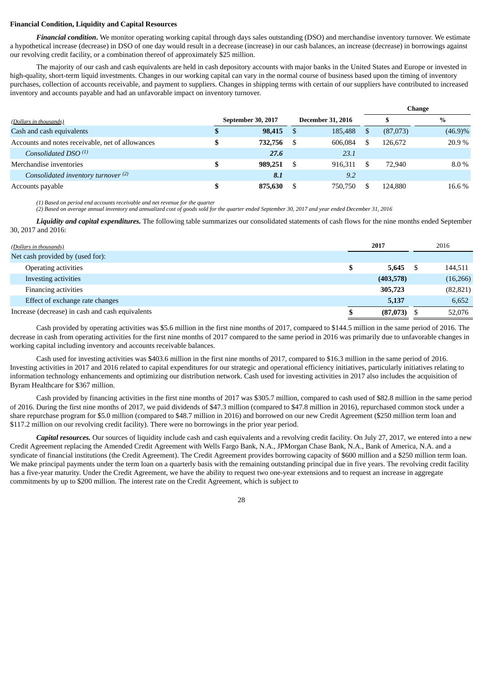#### **Financial Condition, Liquidity and Capital Resources**

*Financial condition***.** We monitor operating working capital through days sales outstanding (DSO) and merchandise inventory turnover. We estimate a hypothetical increase (decrease) in DSO of one day would result in a decrease (increase) in our cash balances, an increase (decrease) in borrowings against our revolving credit facility, or a combination thereof of approximately \$25 million.

The majority of our cash and cash equivalents are held in cash depository accounts with major banks in the United States and Europe or invested in high-quality, short-term liquid investments. Changes in our working capital can vary in the normal course of business based upon the timing of inventory purchases, collection of accounts receivable, and payment to suppliers. Changes in shipping terms with certain of our suppliers have contributed to increased inventory and accounts payable and had an unfavorable impact on inventory turnover.

|                                                  |    |                    |   |                          |          | <b>Change</b> |
|--------------------------------------------------|----|--------------------|---|--------------------------|----------|---------------|
| (Dollars in thousands)                           |    | September 30, 2017 |   | <b>December 31, 2016</b> |          | $\%$          |
| Cash and cash equivalents                        | Φ  | 98,415             |   | 185,488                  | (87,073) | $(46.9)\%$    |
| Accounts and notes receivable, net of allowances | ۰υ | 732,756            | S | 606.084                  | 126.672  | 20.9%         |
| Consolidated DSO $(1)$                           |    | 27.6               |   | 23.1                     |          |               |
| Merchandise inventories                          | ۰υ | 989,251            |   | 916,311                  | 72.940   | $8.0\%$       |
| Consolidated inventory turnover <sup>(2)</sup>   |    | 8.1                |   | 9.2                      |          |               |
| Accounts payable                                 |    | 875,630            |   | 750.750                  | 124.880  | 16.6 %        |

*(1) Based on period end accounts receivable and net revenue for the quarter*

(2) Based on average annual inventory and annualized cost of goods sold for the quarter ended September 30, 2017 and year ended December 31, 2016

*Liquidity and capital expenditures.* The following table summarizes our consolidated statements of cash flows for the nine months ended September 30, 2017 and 2016:

| (Dollars in thousands)                           | 2016<br>2017 |      |           |
|--------------------------------------------------|--------------|------|-----------|
| Net cash provided by (used for):                 |              |      |           |
| <b>Operating activities</b>                      | \$<br>5,645  | - \$ | 144,511   |
| Investing activities                             | (403, 578)   |      | (16, 266) |
| <b>Financing activities</b>                      | 305,723      |      | (82, 821) |
| Effect of exchange rate changes                  | 5,137        |      | 6,652     |
| Increase (decrease) in cash and cash equivalents | (87,073)     |      | 52,076    |

Cash provided by operating activities was \$5.6 million in the first nine months of 2017, compared to \$144.5 million in the same period of 2016. The decrease in cash from operating activities for the first nine months of 2017 compared to the same period in 2016 was primarily due to unfavorable changes in working capital including inventory and accounts receivable balances.

Cash used for investing activities was \$403.6 million in the first nine months of 2017, compared to \$16.3 million in the same period of 2016. Investing activities in 2017 and 2016 related to capital expenditures for our strategic and operational efficiency initiatives, particularly initiatives relating to information technology enhancements and optimizing our distribution network. Cash used for investing activities in 2017 also includes the acquisition of Byram Healthcare for \$367 million.

Cash provided by financing activities in the first nine months of 2017 was \$305.7 million, compared to cash used of \$82.8 million in the same period of 2016. During the first nine months of 2017, we paid dividends of \$47.3 million (compared to \$47.8 million in 2016), repurchased common stock under a share repurchase program for \$5.0 million (compared to \$48.7 million in 2016) and borrowed on our new Credit Agreement (\$250 million term loan and \$117.2 million on our revolving credit facility). There were no borrowings in the prior year period.

*Capital resources.* Our sources of liquidity include cash and cash equivalents and a revolving credit facility. On July 27, 2017, we entered into a new Credit Agreement replacing the Amended Credit Agreement with Wells Fargo Bank, N.A., JPMorgan Chase Bank, N.A., Bank of America, N.A. and a syndicate of financial institutions (the Credit Agreement). The Credit Agreement provides borrowing capacity of \$600 million and a \$250 million term loan. We make principal payments under the term loan on a quarterly basis with the remaining outstanding principal due in five years. The revolving credit facility has a five-year maturity. Under the Credit Agreement, we have the ability to request two one-year extensions and to request an increase in aggregate commitments by up to \$200 million. The interest rate on the Credit Agreement, which is subject to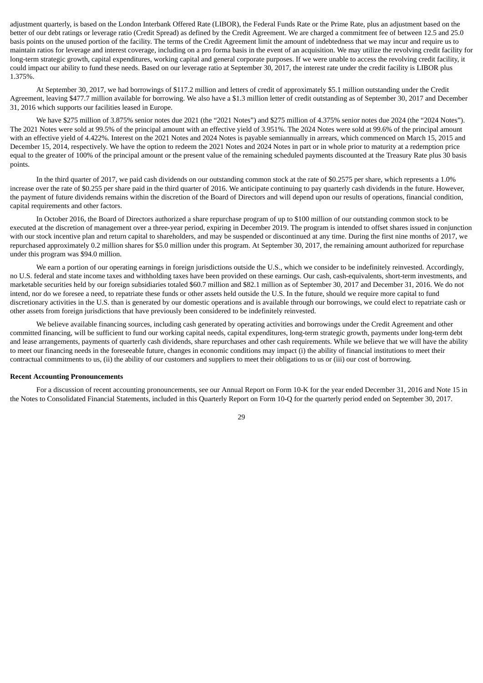adjustment quarterly, is based on the London Interbank Offered Rate (LIBOR), the Federal Funds Rate or the Prime Rate, plus an adjustment based on the better of our debt ratings or leverage ratio (Credit Spread) as defined by the Credit Agreement. We are charged a commitment fee of between 12.5 and 25.0 basis points on the unused portion of the facility. The terms of the Credit Agreement limit the amount of indebtedness that we may incur and require us to maintain ratios for leverage and interest coverage, including on a pro forma basis in the event of an acquisition. We may utilize the revolving credit facility for long-term strategic growth, capital expenditures, working capital and general corporate purposes. If we were unable to access the revolving credit facility, it could impact our ability to fund these needs. Based on our leverage ratio at September 30, 2017, the interest rate under the credit facility is LIBOR plus 1.375%.

At September 30, 2017, we had borrowings of \$117.2 million and letters of credit of approximately \$5.1 million outstanding under the Credit Agreement, leaving \$477.7 million available for borrowing. We also have a \$1.3 million letter of credit outstanding as of September 30, 2017 and December 31, 2016 which supports our facilities leased in Europe.

We have \$275 million of 3.875% senior notes due 2021 (the "2021 Notes") and \$275 million of 4.375% senior notes due 2024 (the "2024 Notes"). The 2021 Notes were sold at 99.5% of the principal amount with an effective yield of 3.951%. The 2024 Notes were sold at 99.6% of the principal amount with an effective yield of 4.422%. Interest on the 2021 Notes and 2024 Notes is payable semiannually in arrears, which commenced on March 15, 2015 and December 15, 2014, respectively. We have the option to redeem the 2021 Notes and 2024 Notes in part or in whole prior to maturity at a redemption price equal to the greater of 100% of the principal amount or the present value of the remaining scheduled payments discounted at the Treasury Rate plus 30 basis points.

In the third quarter of 2017, we paid cash dividends on our outstanding common stock at the rate of \$0.2575 per share, which represents a 1.0% increase over the rate of \$0.255 per share paid in the third quarter of 2016. We anticipate continuing to pay quarterly cash dividends in the future. However, the payment of future dividends remains within the discretion of the Board of Directors and will depend upon our results of operations, financial condition, capital requirements and other factors.

In October 2016, the Board of Directors authorized a share repurchase program of up to \$100 million of our outstanding common stock to be executed at the discretion of management over a three-year period, expiring in December 2019. The program is intended to offset shares issued in conjunction with our stock incentive plan and return capital to shareholders, and may be suspended or discontinued at any time. During the first nine months of 2017, we repurchased approximately 0.2 million shares for \$5.0 million under this program. At September 30, 2017, the remaining amount authorized for repurchase under this program was \$94.0 million.

We earn a portion of our operating earnings in foreign jurisdictions outside the U.S., which we consider to be indefinitely reinvested. Accordingly, no U.S. federal and state income taxes and withholding taxes have been provided on these earnings. Our cash, cash-equivalents, short-term investments, and marketable securities held by our foreign subsidiaries totaled \$60.7 million and \$82.1 million as of September 30, 2017 and December 31, 2016. We do not intend, nor do we foresee a need, to repatriate these funds or other assets held outside the U.S. In the future, should we require more capital to fund discretionary activities in the U.S. than is generated by our domestic operations and is available through our borrowings, we could elect to repatriate cash or other assets from foreign jurisdictions that have previously been considered to be indefinitely reinvested.

We believe available financing sources, including cash generated by operating activities and borrowings under the Credit Agreement and other committed financing, will be sufficient to fund our working capital needs, capital expenditures, long-term strategic growth, payments under long-term debt and lease arrangements, payments of quarterly cash dividends, share repurchases and other cash requirements. While we believe that we will have the ability to meet our financing needs in the foreseeable future, changes in economic conditions may impact (i) the ability of financial institutions to meet their contractual commitments to us, (ii) the ability of our customers and suppliers to meet their obligations to us or (iii) our cost of borrowing.

#### **Recent Accounting Pronouncements**

For a discussion of recent accounting pronouncements, see our Annual Report on Form 10-K for the year ended December 31, 2016 and Note 15 in the Notes to Consolidated Financial Statements, included in this Quarterly Report on Form 10-Q for the quarterly period ended on September 30, 2017.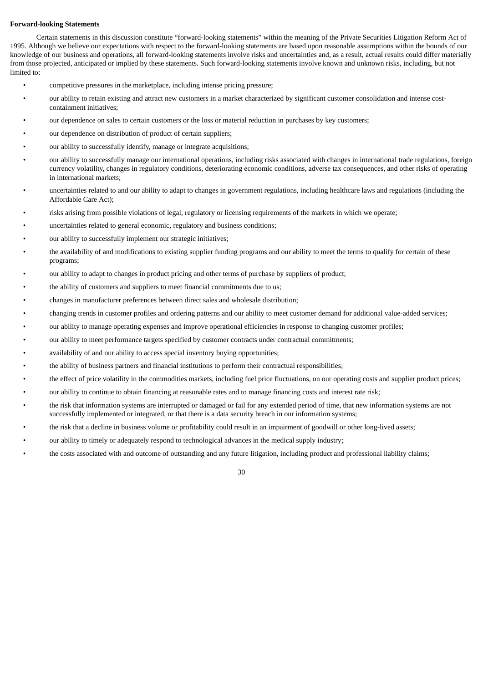#### **Forward-looking Statements**

Certain statements in this discussion constitute "forward-looking statements" within the meaning of the Private Securities Litigation Reform Act of 1995. Although we believe our expectations with respect to the forward-looking statements are based upon reasonable assumptions within the bounds of our knowledge of our business and operations, all forward-looking statements involve risks and uncertainties and, as a result, actual results could differ materially from those projected, anticipated or implied by these statements. Such forward-looking statements involve known and unknown risks, including, but not limited to:

- competitive pressures in the marketplace, including intense pricing pressure;
- our ability to retain existing and attract new customers in a market characterized by significant customer consolidation and intense costcontainment initiatives;
- our dependence on sales to certain customers or the loss or material reduction in purchases by key customers;
- our dependence on distribution of product of certain suppliers;
- our ability to successfully identify, manage or integrate acquisitions;
- our ability to successfully manage our international operations, including risks associated with changes in international trade regulations, foreign currency volatility, changes in regulatory conditions, deteriorating economic conditions, adverse tax consequences, and other risks of operating in international markets;
- uncertainties related to and our ability to adapt to changes in government regulations, including healthcare laws and regulations (including the Affordable Care Act);
- risks arising from possible violations of legal, regulatory or licensing requirements of the markets in which we operate;
- uncertainties related to general economic, regulatory and business conditions;
- our ability to successfully implement our strategic initiatives;
- the availability of and modifications to existing supplier funding programs and our ability to meet the terms to qualify for certain of these programs;
- our ability to adapt to changes in product pricing and other terms of purchase by suppliers of product;
- the ability of customers and suppliers to meet financial commitments due to us;
- changes in manufacturer preferences between direct sales and wholesale distribution;
- changing trends in customer profiles and ordering patterns and our ability to meet customer demand for additional value-added services;
- our ability to manage operating expenses and improve operational efficiencies in response to changing customer profiles;
- our ability to meet performance targets specified by customer contracts under contractual commitments;
- availability of and our ability to access special inventory buying opportunities;
- the ability of business partners and financial institutions to perform their contractual responsibilities;
- the effect of price volatility in the commodities markets, including fuel price fluctuations, on our operating costs and supplier product prices;
- our ability to continue to obtain financing at reasonable rates and to manage financing costs and interest rate risk;
- the risk that information systems are interrupted or damaged or fail for any extended period of time, that new information systems are not successfully implemented or integrated, or that there is a data security breach in our information systems;
- the risk that a decline in business volume or profitability could result in an impairment of goodwill or other long-lived assets;
- our ability to timely or adequately respond to technological advances in the medical supply industry;
- the costs associated with and outcome of outstanding and any future litigation, including product and professional liability claims;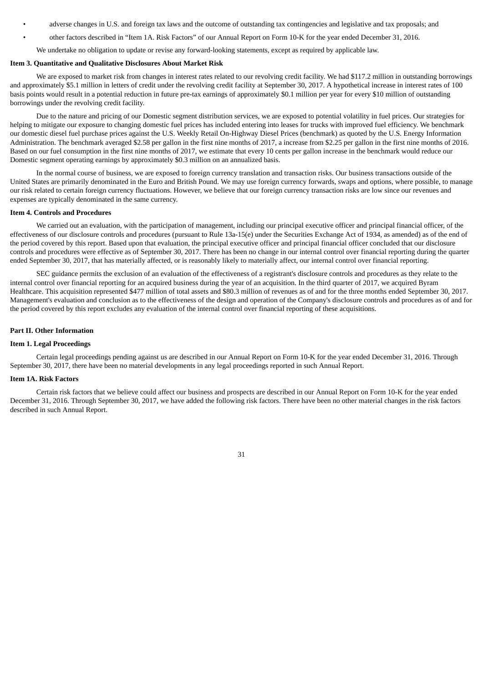- adverse changes in U.S. and foreign tax laws and the outcome of outstanding tax contingencies and legislative and tax proposals; and
	- other factors described in "Item 1A. Risk Factors" of our Annual Report on Form 10-K for the year ended December 31, 2016.

We undertake no obligation to update or revise any forward-looking statements, except as required by applicable law.

#### <span id="page-30-0"></span>**Item 3. Quantitative and Qualitative Disclosures About Market Risk**

We are exposed to market risk from changes in interest rates related to our revolving credit facility. We had \$117.2 million in outstanding borrowings and approximately \$5.1 million in letters of credit under the revolving credit facility at September 30, 2017. A hypothetical increase in interest rates of 100 basis points would result in a potential reduction in future pre-tax earnings of approximately \$0.1 million per year for every \$10 million of outstanding borrowings under the revolving credit facility.

Due to the nature and pricing of our Domestic segment distribution services, we are exposed to potential volatility in fuel prices. Our strategies for helping to mitigate our exposure to changing domestic fuel prices has included entering into leases for trucks with improved fuel efficiency. We benchmark our domestic diesel fuel purchase prices against the U.S. Weekly Retail On-Highway Diesel Prices (benchmark) as quoted by the U.S. Energy Information Administration. The benchmark averaged \$2.58 per gallon in the first nine months of 2017, a increase from \$2.25 per gallon in the first nine months of 2016. Based on our fuel consumption in the first nine months of 2017, we estimate that every 10 cents per gallon increase in the benchmark would reduce our Domestic segment operating earnings by approximately \$0.3 million on an annualized basis.

In the normal course of business, we are exposed to foreign currency translation and transaction risks. Our business transactions outside of the United States are primarily denominated in the Euro and British Pound. We may use foreign currency forwards, swaps and options, where possible, to manage our risk related to certain foreign currency fluctuations. However, we believe that our foreign currency transaction risks are low since our revenues and expenses are typically denominated in the same currency.

#### <span id="page-30-1"></span>**Item 4. Controls and Procedures**

We carried out an evaluation, with the participation of management, including our principal executive officer and principal financial officer, of the effectiveness of our disclosure controls and procedures (pursuant to Rule 13a-15(e) under the Securities Exchange Act of 1934, as amended) as of the end of the period covered by this report. Based upon that evaluation, the principal executive officer and principal financial officer concluded that our disclosure controls and procedures were effective as of September 30, 2017. There has been no change in our internal control over financial reporting during the quarter ended September 30, 2017, that has materially affected, or is reasonably likely to materially affect, our internal control over financial reporting.

SEC guidance permits the exclusion of an evaluation of the effectiveness of a registrant's disclosure controls and procedures as they relate to the internal control over financial reporting for an acquired business during the year of an acquisition. In the third quarter of 2017, we acquired Byram Healthcare. This acquisition represented \$477 million of total assets and \$80.3 million of revenues as of and for the three months ended September 30, 2017. Management's evaluation and conclusion as to the effectiveness of the design and operation of the Company's disclosure controls and procedures as of and for the period covered by this report excludes any evaluation of the internal control over financial reporting of these acquisitions.

#### <span id="page-30-2"></span>**Part II. Other Information**

### <span id="page-30-3"></span>**Item 1. Legal Proceedings**

Certain legal proceedings pending against us are described in our Annual Report on Form 10-K for the year ended December 31, 2016. Through September 30, 2017, there have been no material developments in any legal proceedings reported in such Annual Report.

#### <span id="page-30-4"></span>**Item 1A. Risk Factors**

Certain risk factors that we believe could affect our business and prospects are described in our Annual Report on Form 10-K for the year ended December 31, 2016. Through September 30, 2017, we have added the following risk factors. There have been no other material changes in the risk factors described in such Annual Report.

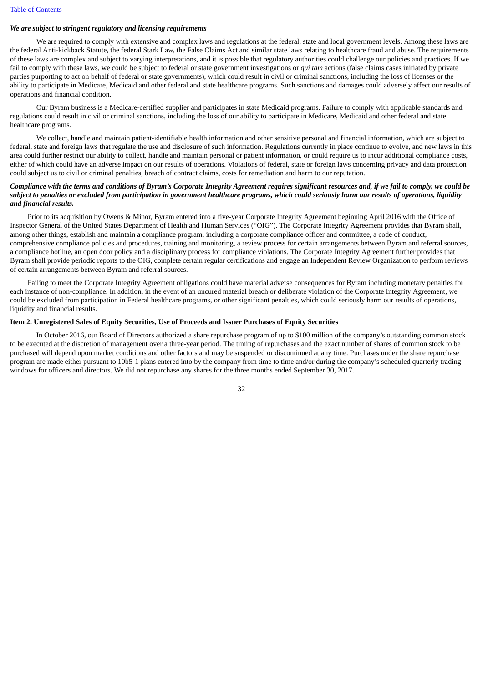## *We are subject to stringent regulatory and licensing requirements*

We are required to comply with extensive and complex laws and regulations at the federal, state and local government levels. Among these laws are the federal Anti-kickback Statute, the federal Stark Law, the False Claims Act and similar state laws relating to healthcare fraud and abuse. The requirements of these laws are complex and subject to varying interpretations, and it is possible that regulatory authorities could challenge our policies and practices. If we fail to comply with these laws, we could be subject to federal or state government investigations or *qui tam* actions (false claims cases initiated by private parties purporting to act on behalf of federal or state governments), which could result in civil or criminal sanctions, including the loss of licenses or the ability to participate in Medicare, Medicaid and other federal and state healthcare programs. Such sanctions and damages could adversely affect our results of operations and financial condition.

Our Byram business is a Medicare-certified supplier and participates in state Medicaid programs. Failure to comply with applicable standards and regulations could result in civil or criminal sanctions, including the loss of our ability to participate in Medicare, Medicaid and other federal and state healthcare programs.

We collect, handle and maintain patient-identifiable health information and other sensitive personal and financial information, which are subject to federal, state and foreign laws that regulate the use and disclosure of such information. Regulations currently in place continue to evolve, and new laws in this area could further restrict our ability to collect, handle and maintain personal or patient information, or could require us to incur additional compliance costs, either of which could have an adverse impact on our results of operations. Violations of federal, state or foreign laws concerning privacy and data protection could subject us to civil or criminal penalties, breach of contract claims, costs for remediation and harm to our reputation.

## Compliance with the terms and conditions of Byram's Corporate Integrity Agreement requires significant resources and, if we fail to comply, we could be subject to penalties or excluded from participation in government healthcare programs, which could seriously harm our results of operations, liquidity *and financial results.*

Prior to its acquisition by Owens & Minor, Byram entered into a five-year Corporate Integrity Agreement beginning April 2016 with the Office of Inspector General of the United States Department of Health and Human Services ("OIG"). The Corporate Integrity Agreement provides that Byram shall, among other things, establish and maintain a compliance program, including a corporate compliance officer and committee, a code of conduct, comprehensive compliance policies and procedures, training and monitoring, a review process for certain arrangements between Byram and referral sources, a compliance hotline, an open door policy and a disciplinary process for compliance violations. The Corporate Integrity Agreement further provides that Byram shall provide periodic reports to the OIG, complete certain regular certifications and engage an Independent Review Organization to perform reviews of certain arrangements between Byram and referral sources.

Failing to meet the Corporate Integrity Agreement obligations could have material adverse consequences for Byram including monetary penalties for each instance of non-compliance. In addition, in the event of an uncured material breach or deliberate violation of the Corporate Integrity Agreement, we could be excluded from participation in Federal healthcare programs, or other significant penalties, which could seriously harm our results of operations, liquidity and financial results.

## <span id="page-31-0"></span>**Item 2. Unregistered Sales of Equity Securities, Use of Proceeds and Issuer Purchases of Equity Securities**

In October 2016, our Board of Directors authorized a share repurchase program of up to \$100 million of the company's outstanding common stock to be executed at the discretion of management over a three-year period. The timing of repurchases and the exact number of shares of common stock to be purchased will depend upon market conditions and other factors and may be suspended or discontinued at any time. Purchases under the share repurchase program are made either pursuant to 10b5-1 plans entered into by the company from time to time and/or during the company's scheduled quarterly trading windows for officers and directors. We did not repurchase any shares for the three months ended September 30, 2017.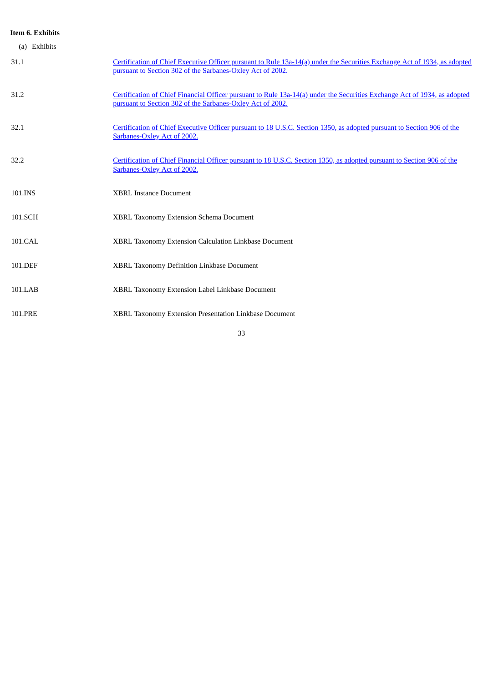## <span id="page-32-0"></span>**Item 6. Exhibits**

| (a) Exhibits |                                                                                                                                                                                         |
|--------------|-----------------------------------------------------------------------------------------------------------------------------------------------------------------------------------------|
| 31.1         | Certification of Chief Executive Officer pursuant to Rule 13a-14(a) under the Securities Exchange Act of 1934, as adopted<br>pursuant to Section 302 of the Sarbanes-Oxley Act of 2002. |
| 31.2         | Certification of Chief Financial Officer pursuant to Rule 13a-14(a) under the Securities Exchange Act of 1934, as adopted<br>pursuant to Section 302 of the Sarbanes-Oxley Act of 2002. |
| 32.1         | Certification of Chief Executive Officer pursuant to 18 U.S.C. Section 1350, as adopted pursuant to Section 906 of the<br>Sarbanes-Oxley Act of 2002.                                   |
| 32.2         | Certification of Chief Financial Officer pursuant to 18 U.S.C. Section 1350, as adopted pursuant to Section 906 of the<br>Sarbanes-Oxley Act of 2002.                                   |
| 101.INS      | <b>XBRL Instance Document</b>                                                                                                                                                           |
| 101.SCH      | XBRL Taxonomy Extension Schema Document                                                                                                                                                 |
| 101.CAL      | XBRL Taxonomy Extension Calculation Linkbase Document                                                                                                                                   |
| 101.DEF      | XBRL Taxonomy Definition Linkbase Document                                                                                                                                              |
| 101.LAB      | XBRL Taxonomy Extension Label Linkbase Document                                                                                                                                         |
| 101.PRE      | XBRL Taxonomy Extension Presentation Linkbase Document                                                                                                                                  |
|              |                                                                                                                                                                                         |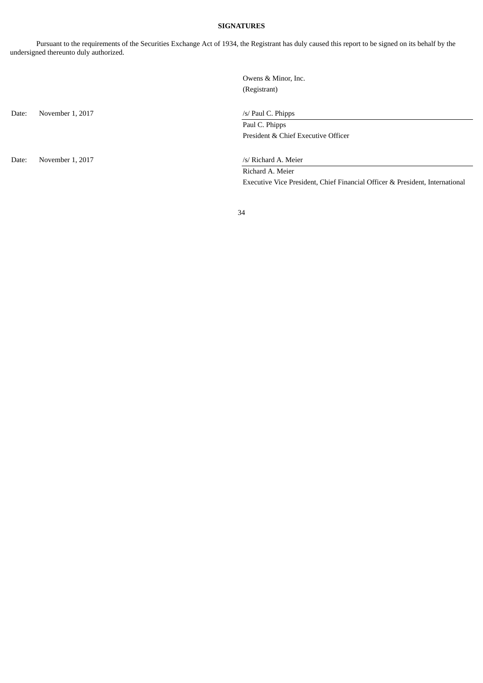## **SIGNATURES**

<span id="page-33-0"></span>Pursuant to the requirements of the Securities Exchange Act of 1934, the Registrant has duly caused this report to be signed on its behalf by the undersigned thereunto duly authorized.

Date: November 1, 2017 /s/ Paul C. Phipps

Date: November 1, 2017 /s/ Richard A. Meier

Owens & Minor, Inc. (Registrant)

Paul C. Phipps President & Chief Executive Officer

Richard A. Meier Executive Vice President, Chief Financial Officer & President, International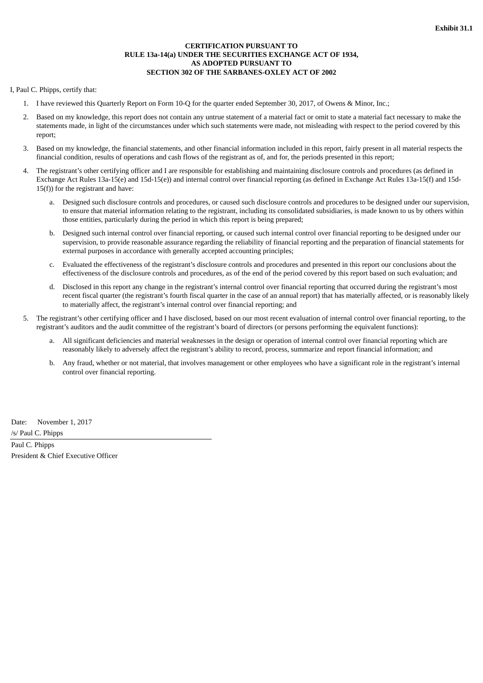## **CERTIFICATION PURSUANT TO RULE 13a-14(a) UNDER THE SECURITIES EXCHANGE ACT OF 1934, AS ADOPTED PURSUANT TO SECTION 302 OF THE SARBANES-OXLEY ACT OF 2002**

## <span id="page-34-0"></span>I, Paul C. Phipps, certify that:

- 1. I have reviewed this Quarterly Report on Form 10-Q for the quarter ended September 30, 2017, of Owens & Minor, Inc.;
- 2. Based on my knowledge, this report does not contain any untrue statement of a material fact or omit to state a material fact necessary to make the statements made, in light of the circumstances under which such statements were made, not misleading with respect to the period covered by this report;
- 3. Based on my knowledge, the financial statements, and other financial information included in this report, fairly present in all material respects the financial condition, results of operations and cash flows of the registrant as of, and for, the periods presented in this report;
- 4. The registrant's other certifying officer and I are responsible for establishing and maintaining disclosure controls and procedures (as defined in Exchange Act Rules 13a-15(e) and 15d-15(e)) and internal control over financial reporting (as defined in Exchange Act Rules 13a-15(f) and 15d- $15(f)$ ) for the registrant and have:
	- a. Designed such disclosure controls and procedures, or caused such disclosure controls and procedures to be designed under our supervision, to ensure that material information relating to the registrant, including its consolidated subsidiaries, is made known to us by others within those entities, particularly during the period in which this report is being prepared;
	- b. Designed such internal control over financial reporting, or caused such internal control over financial reporting to be designed under our supervision, to provide reasonable assurance regarding the reliability of financial reporting and the preparation of financial statements for external purposes in accordance with generally accepted accounting principles;
	- c. Evaluated the effectiveness of the registrant's disclosure controls and procedures and presented in this report our conclusions about the effectiveness of the disclosure controls and procedures, as of the end of the period covered by this report based on such evaluation; and
	- d. Disclosed in this report any change in the registrant's internal control over financial reporting that occurred during the registrant's most recent fiscal quarter (the registrant's fourth fiscal quarter in the case of an annual report) that has materially affected, or is reasonably likely to materially affect, the registrant's internal control over financial reporting; and
- 5. The registrant's other certifying officer and I have disclosed, based on our most recent evaluation of internal control over financial reporting, to the registrant's auditors and the audit committee of the registrant's board of directors (or persons performing the equivalent functions):
	- a. All significant deficiencies and material weaknesses in the design or operation of internal control over financial reporting which are reasonably likely to adversely affect the registrant's ability to record, process, summarize and report financial information; and
	- b. Any fraud, whether or not material, that involves management or other employees who have a significant role in the registrant's internal control over financial reporting.

Date: November 1, 2017 /s/ Paul C. Phipps

Paul C. Phipps President & Chief Executive Officer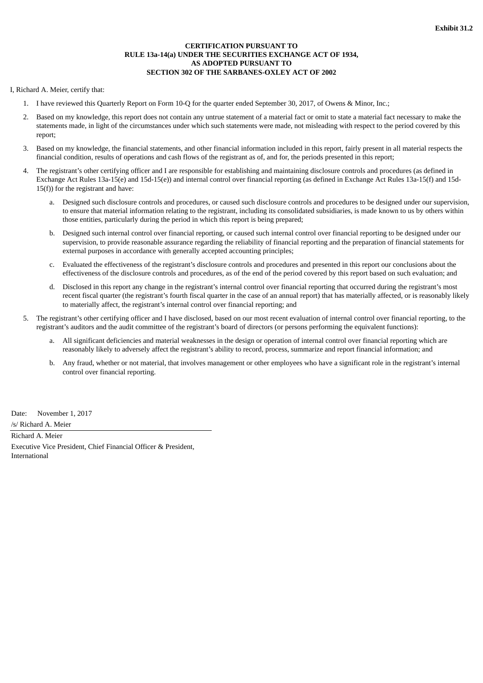## **CERTIFICATION PURSUANT TO RULE 13a-14(a) UNDER THE SECURITIES EXCHANGE ACT OF 1934, AS ADOPTED PURSUANT TO SECTION 302 OF THE SARBANES-OXLEY ACT OF 2002**

### <span id="page-35-0"></span>I, Richard A. Meier, certify that:

- 1. I have reviewed this Quarterly Report on Form 10-Q for the quarter ended September 30, 2017, of Owens & Minor, Inc.;
- 2. Based on my knowledge, this report does not contain any untrue statement of a material fact or omit to state a material fact necessary to make the statements made, in light of the circumstances under which such statements were made, not misleading with respect to the period covered by this report;
- 3. Based on my knowledge, the financial statements, and other financial information included in this report, fairly present in all material respects the financial condition, results of operations and cash flows of the registrant as of, and for, the periods presented in this report;
- 4. The registrant's other certifying officer and I are responsible for establishing and maintaining disclosure controls and procedures (as defined in Exchange Act Rules 13a-15(e) and 15d-15(e)) and internal control over financial reporting (as defined in Exchange Act Rules 13a-15(f) and 15d- $15(f)$ ) for the registrant and have:
	- a. Designed such disclosure controls and procedures, or caused such disclosure controls and procedures to be designed under our supervision, to ensure that material information relating to the registrant, including its consolidated subsidiaries, is made known to us by others within those entities, particularly during the period in which this report is being prepared;
	- b. Designed such internal control over financial reporting, or caused such internal control over financial reporting to be designed under our supervision, to provide reasonable assurance regarding the reliability of financial reporting and the preparation of financial statements for external purposes in accordance with generally accepted accounting principles;
	- c. Evaluated the effectiveness of the registrant's disclosure controls and procedures and presented in this report our conclusions about the effectiveness of the disclosure controls and procedures, as of the end of the period covered by this report based on such evaluation; and
	- d. Disclosed in this report any change in the registrant's internal control over financial reporting that occurred during the registrant's most recent fiscal quarter (the registrant's fourth fiscal quarter in the case of an annual report) that has materially affected, or is reasonably likely to materially affect, the registrant's internal control over financial reporting; and
- 5. The registrant's other certifying officer and I have disclosed, based on our most recent evaluation of internal control over financial reporting, to the registrant's auditors and the audit committee of the registrant's board of directors (or persons performing the equivalent functions):
	- a. All significant deficiencies and material weaknesses in the design or operation of internal control over financial reporting which are reasonably likely to adversely affect the registrant's ability to record, process, summarize and report financial information; and
	- b. Any fraud, whether or not material, that involves management or other employees who have a significant role in the registrant's internal control over financial reporting.

Date: November 1, 2017

/s/ Richard A. Meier

Richard A. Meier Executive Vice President, Chief Financial Officer & President,

International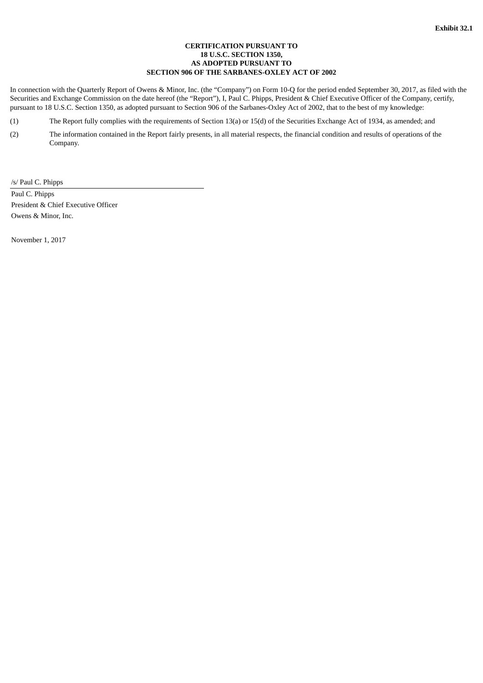## **CERTIFICATION PURSUANT TO 18 U.S.C. SECTION 1350, AS ADOPTED PURSUANT TO SECTION 906 OF THE SARBANES-OXLEY ACT OF 2002**

<span id="page-36-0"></span>In connection with the Quarterly Report of Owens & Minor, Inc. (the "Company") on Form 10-Q for the period ended September 30, 2017, as filed with the Securities and Exchange Commission on the date hereof (the "Report"), I, Paul C. Phipps, President & Chief Executive Officer of the Company, certify, pursuant to 18 U.S.C. Section 1350, as adopted pursuant to Section 906 of the Sarbanes-Oxley Act of 2002, that to the best of my knowledge:

(1) The Report fully complies with the requirements of Section 13(a) or 15(d) of the Securities Exchange Act of 1934, as amended; and

(2) The information contained in the Report fairly presents, in all material respects, the financial condition and results of operations of the Company.

/s/ Paul C. Phipps

Paul C. Phipps President & Chief Executive Officer Owens & Minor, Inc.

November 1, 2017